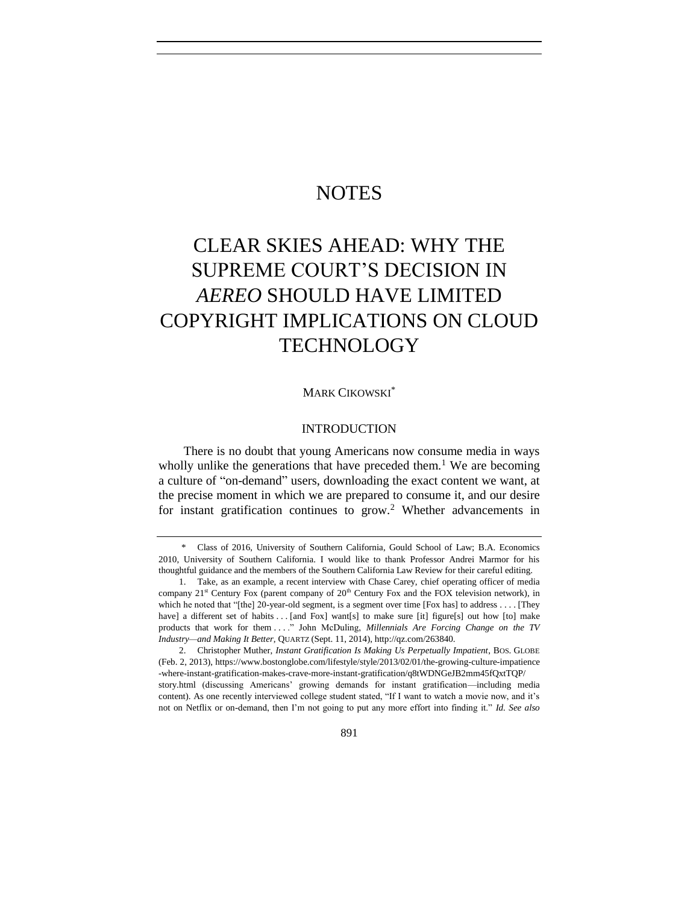# **NOTES**

# CLEAR SKIES AHEAD: WHY THE SUPREME COURT'S DECISION IN *AEREO* SHOULD HAVE LIMITED COPYRIGHT IMPLICATIONS ON CLOUD **TECHNOLOGY**

# MARK CIKOWSKI\*

# <span id="page-0-0"></span>INTRODUCTION

There is no doubt that young Americans now consume media in ways wholly unlike the generations that have preceded them.<sup>1</sup> We are becoming a culture of "on-demand" users, downloading the exact content we want, at the precise moment in which we are prepared to consume it, and our desire for instant gratification continues to grow.<sup>2</sup> Whether advancements in

<sup>\*</sup> Class of 2016, University of Southern California, Gould School of Law; B.A. Economics 2010, University of Southern California. I would like to thank Professor Andrei Marmor for his thoughtful guidance and the members of the Southern California Law Review for their careful editing.

<sup>1.</sup> Take, as an example, a recent interview with Chase Carey, chief operating officer of media company  $21<sup>st</sup>$  Century Fox (parent company of  $20<sup>th</sup>$  Century Fox and the FOX television network), in which he noted that "[the] 20-year-old segment, is a segment over time [Fox has] to address . . . . [They have] a different set of habits . . . [and Fox] want[s] to make sure [it] figure[s] out how [to] make products that work for them . . . ." John McDuling, *Millennials Are Forcing Change on the TV Industry—and Making It Better*, QUARTZ (Sept. 11, 2014), http://qz.com/263840.

<sup>2.</sup> Christopher Muther, *Instant Gratification Is Making Us Perpetually Impatient*, BOS. GLOBE (Feb. 2, 2013), https://www.bostonglobe.com/lifestyle/style/2013/02/01/the-growing-culture-impatience -where-instant-gratification-makes-crave-more-instant-gratification/q8tWDNGeJB2mm45fQxtTQP/ story.html (discussing Americans' growing demands for instant gratification—including media content). As one recently interviewed college student stated, "If I want to watch a movie now, and it's not on Netflix or on-demand, then I'm not going to put any more effort into finding it." *Id. See also*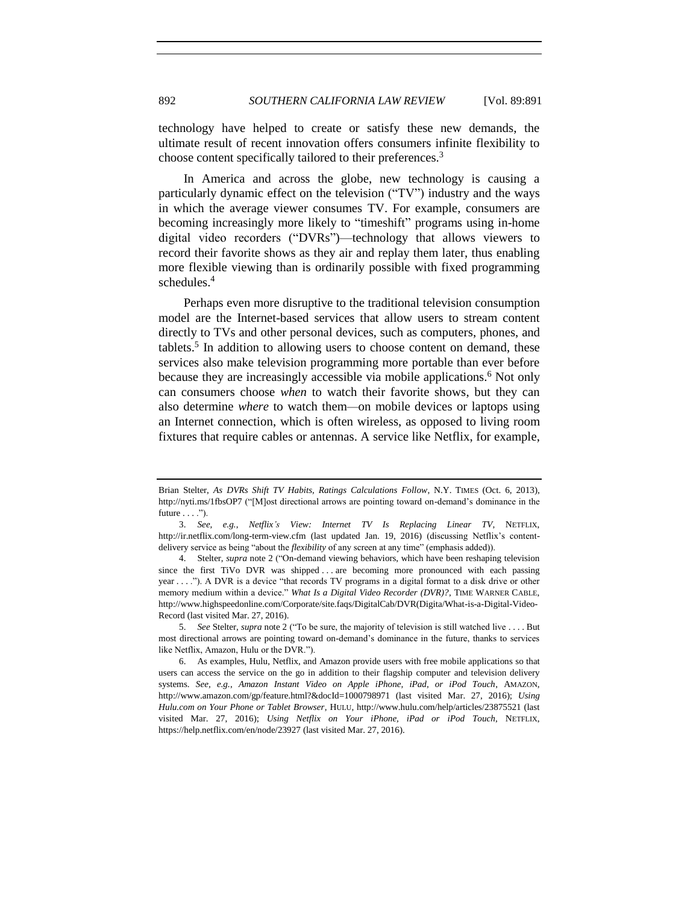technology have helped to create or satisfy these new demands, the ultimate result of recent innovation offers consumers infinite flexibility to choose content specifically tailored to their preferences.<sup>3</sup>

In America and across the globe, new technology is causing a particularly dynamic effect on the television ("TV") industry and the ways in which the average viewer consumes TV. For example, consumers are becoming increasingly more likely to "timeshift" programs using in-home digital video recorders ("DVRs")—technology that allows viewers to record their favorite shows as they air and replay them later, thus enabling more flexible viewing than is ordinarily possible with fixed programming schedules.<sup>4</sup>

Perhaps even more disruptive to the traditional television consumption model are the Internet-based services that allow users to stream content directly to TVs and other personal devices, such as computers, phones, and tablets.<sup>5</sup> In addition to allowing users to choose content on demand, these services also make television programming more portable than ever before because they are increasingly accessible via mobile applications.<sup>6</sup> Not only can consumers choose *when* to watch their favorite shows, but they can also determine *where* to watch them*—*on mobile devices or laptops using an Internet connection, which is often wireless, as opposed to living room fixtures that require cables or antennas. A service like Netflix, for example,

5. *See* Stelter, *supra* not[e 2](#page-0-0) ("To be sure, the majority of television is still watched live . . . . But most directional arrows are pointing toward on-demand's dominance in the future, thanks to services like Netflix, Amazon, Hulu or the DVR.").

Brian Stelter, *As DVRs Shift TV Habits, Ratings Calculations Follow*, N.Y. TIMES (Oct. 6, 2013), http://nyti.ms/1fbsOP7 ("[M]ost directional arrows are pointing toward on-demand's dominance in the future  $\dots$ .").

<sup>3.</sup> *See, e.g.*, *Netflix's View: Internet TV Is Replacing Linear TV*, NETFLIX, http://ir.netflix.com/long-term-view.cfm (last updated Jan. 19, 2016) (discussing Netflix's contentdelivery service as being "about the *flexibility* of any screen at any time" (emphasis added)).

<sup>4.</sup> Stelter, *supra* note [2](#page-0-0) ("On-demand viewing behaviors, which have been reshaping television since the first TiVo DVR was shipped ... are becoming more pronounced with each passing year . . . ."). A DVR is a device "that records TV programs in a digital format to a disk drive or other memory medium within a device." *What Is a Digital Video Recorder (DVR)*?, TIME WARNER CABLE, http://www.highspeedonline.com/Corporate/site.faqs/DigitalCab/DVR(Digita/What-is-a-Digital-Video-Record (last visited Mar. 27, 2016).

<sup>6.</sup> As examples, Hulu, Netflix, and Amazon provide users with free mobile applications so that users can access the service on the go in addition to their flagship computer and television delivery systems. *See, e.g.*, *Amazon Instant Video on Apple iPhone, iPad, or iPod Touch*, AMAZON, http://www.amazon.com/gp/feature.html?&docId=1000798971 (last visited Mar. 27, 2016); *Using Hulu.com on Your Phone or Tablet Browser*, HULU, http://www.hulu.com/help/articles/23875521 (last visited Mar. 27, 2016); *Using Netflix on Your iPhone, iPad or iPod Touch*, NETFLIX, https://help.netflix.com/en/node/23927 (last visited Mar. 27, 2016).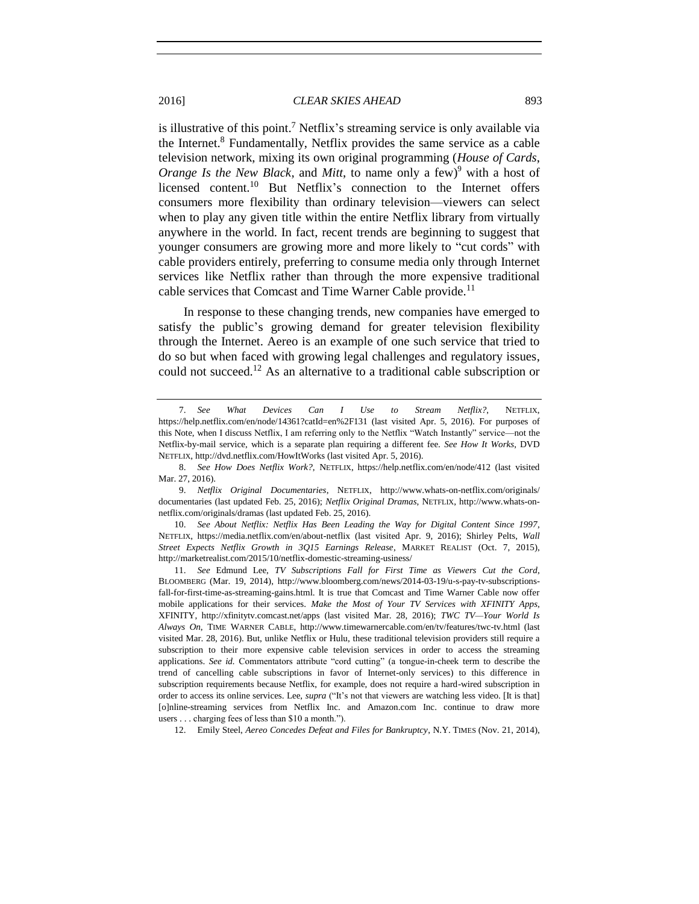is illustrative of this point.<sup>7</sup> Netflix's streaming service is only available via the Internet.<sup>8</sup> Fundamentally, Netflix provides the same service as a cable television network, mixing its own original programming (*House of Cards*, *Orange Is the New Black*, and *Mitt*, to name only a few)<sup>9</sup> with a host of licensed content.<sup>10</sup> But Netflix's connection to the Internet offers consumers more flexibility than ordinary television—viewers can select when to play any given title within the entire Netflix library from virtually anywhere in the world. In fact, recent trends are beginning to suggest that younger consumers are growing more and more likely to "cut cords" with cable providers entirely, preferring to consume media only through Internet services like Netflix rather than through the more expensive traditional cable services that Comcast and Time Warner Cable provide.<sup>11</sup>

In response to these changing trends, new companies have emerged to satisfy the public's growing demand for greater television flexibility through the Internet. Aereo is an example of one such service that tried to do so but when faced with growing legal challenges and regulatory issues, could not succeed.<sup>12</sup> As an alternative to a traditional cable subscription or

10. *See About Netflix: Netflix Has Been Leading the Way for Digital Content Since 1997*, NETFLIX, https://media.netflix.com/en/about-netflix (last visited Apr. 9, 2016); Shirley Pelts, *Wall Street Expects Netflix Growth in 3Q15 Earnings Release*, MARKET REALIST (Oct. 7, 2015), http://marketrealist.com/2015/10/netflix-domestic-streaming-usiness/

12. Emily Steel, *Aereo Concedes Defeat and Files for Bankruptcy*, N.Y. TIMES (Nov. 21, 2014),

<span id="page-2-0"></span><sup>7.</sup> *See What Devices Can I Use to Stream Netflix?*, NETFLIX, https://help.netflix.com/en/node/14361?catId=en%2F131 (last visited Apr. 5, 2016). For purposes of this Note, when I discuss Netflix, I am referring only to the Netflix "Watch Instantly" service—not the Netflix-by-mail service, which is a separate plan requiring a different fee. *See How It Works*, DVD NETFLIX, http://dvd.netflix.com/HowItWorks (last visited Apr. 5, 2016).

<sup>8.</sup> *See How Does Netflix Work?*, NETFLIX, https://help.netflix.com/en/node/412 (last visited Mar. 27, 2016).

<sup>9.</sup> *Netflix Original Documentaries*, NETFLIX, [http://www.whats-on-netflix.com/originals/](http://www.whats-on-netflix.com/originals) documentaries (last updated Feb. 25, 2016); *Netflix Original Dramas*, NETFLIX, http://www.whats-onnetflix.com/originals/dramas (last updated Feb. 25, 2016).

<sup>11.</sup> *See* Edmund Lee, *TV Subscriptions Fall for First Time as Viewers Cut the Cord*, BLOOMBERG (Mar. 19, 2014), http://www.bloomberg.com/news/2014-03-19/u-s-pay-tv-subscriptionsfall-for-first-time-as-streaming-gains.html. It is true that Comcast and Time Warner Cable now offer mobile applications for their services. *Make the Most of Your TV Services with XFINITY Apps*, XFINITY, http://xfinitytv.comcast.net/apps (last visited Mar. 28, 2016); *TWC TV—Your World Is Always On*, TIME WARNER CABLE, http://www.timewarnercable.com/en/tv/features/twc-tv.html (last visited Mar. 28, 2016). But, unlike Netflix or Hulu, these traditional television providers still require a subscription to their more expensive cable television services in order to access the streaming applications. *See id.* Commentators attribute "cord cutting" (a tongue-in-cheek term to describe the trend of cancelling cable subscriptions in favor of Internet-only services) to this difference in subscription requirements because Netflix, for example, does not require a hard-wired subscription in order to access its online services. Lee, *supra* ("It's not that viewers are watching less video. [It is that] [o]nline-streaming services from Netflix Inc. and Amazon.com Inc. continue to draw more users . . . charging fees of less than \$10 a month.").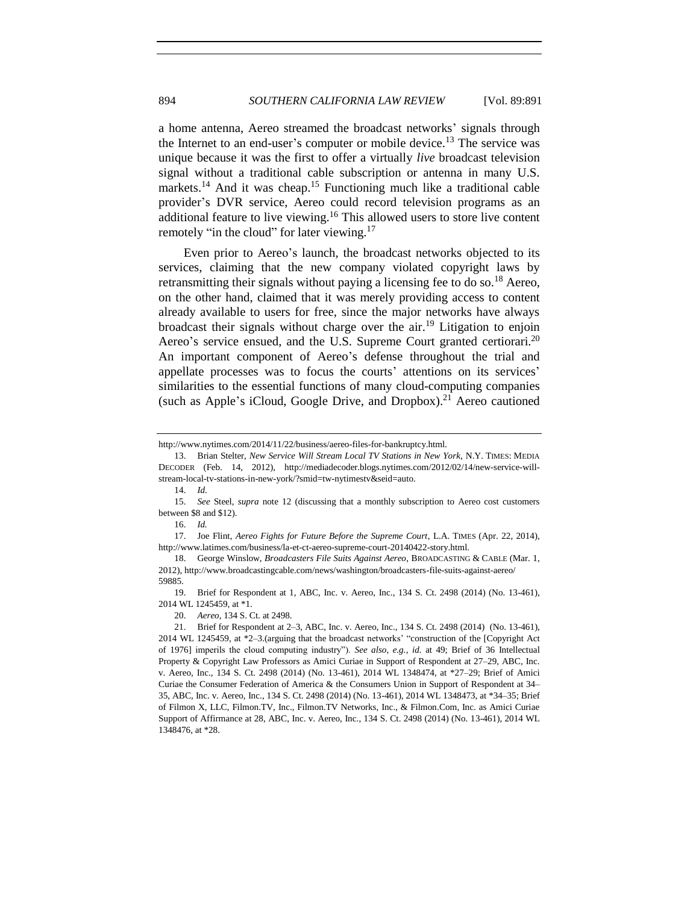a home antenna, Aereo streamed the broadcast networks' signals through the Internet to an end-user's computer or mobile device.<sup>13</sup> The service was unique because it was the first to offer a virtually *live* broadcast television signal without a traditional cable subscription or antenna in many U.S. markets.<sup>14</sup> And it was cheap.<sup>15</sup> Functioning much like a traditional cable provider's DVR service, Aereo could record television programs as an additional feature to live viewing. <sup>16</sup> This allowed users to store live content remotely "in the cloud" for later viewing.<sup>17</sup>

<span id="page-3-0"></span>Even prior to Aereo's launch, the broadcast networks objected to its services, claiming that the new company violated copyright laws by retransmitting their signals without paying a licensing fee to do so.<sup>18</sup> Aereo, on the other hand, claimed that it was merely providing access to content already available to users for free, since the major networks have always broadcast their signals without charge over the air.<sup>19</sup> Litigation to enjoin Aereo's service ensued, and the U.S. Supreme Court granted certiorari.<sup>20</sup> An important component of Aereo's defense throughout the trial and appellate processes was to focus the courts' attentions on its services' similarities to the essential functions of many cloud-computing companies (such as Apple's iCloud, Google Drive, and Dropbox).<sup>21</sup> Aereo cautioned

http://www.nytimes.com/2014/11/22/business/aereo-files-for-bankruptcy.html.

<sup>13.</sup> Brian Stelter, *New Service Will Stream Local TV Stations in New York*, N.Y. TIMES: MEDIA DECODER (Feb. 14, 2012), http://mediadecoder.blogs.nytimes.com/2012/02/14/new-service-willstream-local-tv-stations-in-new-york/?smid=tw-nytimestv&seid=auto.

<sup>14.</sup> *Id.*

<sup>15.</sup> *See* Steel, *supra* note [12](#page-2-0) (discussing that a monthly subscription to Aereo cost customers between \$8 and \$12).

<sup>16.</sup> *Id.*

<sup>17.</sup> Joe Flint, *Aereo Fights for Future Before the Supreme Court*, L.A. TIMES (Apr. 22, 2014), http://www.latimes.com/business/la-et-ct-aereo-supreme-court-20140422-story.html.

<sup>18.</sup> George Winslow, *Broadcasters File Suits Against Aereo*, BROADCASTING & CABLE (Mar. 1, 2012), http://www.broadcastingcable.com/news/washington/broadcasters-file-suits-against-aereo/ 59885.

<sup>19.</sup> Brief for Respondent at 1, ABC, Inc. v. Aereo, Inc., 134 S. Ct. 2498 (2014) (No. 13-461), 2014 WL 1245459, at \*1.

<sup>20.</sup> *Aereo*, 134 S. Ct. at 2498.

<sup>21.</sup> Brief for Respondent at 2–3, ABC, Inc. v. Aereo, Inc., 134 S. Ct. 2498 (2014) (No. 13-461), 2014 WL 1245459, at \*2–3.(arguing that the broadcast networks' "construction of the [Copyright Act of 1976] imperils the cloud computing industry"). *See also, e.g.*, *id.* at 49; Brief of 36 Intellectual Property & Copyright Law Professors as Amici Curiae in Support of Respondent at 27–29, ABC, Inc. v. Aereo, Inc., 134 S. Ct. 2498 (2014) (No. 13-461), 2014 WL 1348474, at \*27–29; Brief of Amici Curiae the Consumer Federation of America & the Consumers Union in Support of Respondent at 34– 35, ABC, Inc. v. Aereo, Inc., 134 S. Ct. 2498 (2014) (No. 13-461), 2014 WL 1348473, at \*34–35; Brief of Filmon X, LLC, Filmon.TV, Inc., Filmon.TV Networks, Inc., & Filmon.Com, Inc. as Amici Curiae Support of Affirmance at 28, ABC, Inc. v. Aereo, Inc., 134 S. Ct. 2498 (2014) (No. 13-461), 2014 WL 1348476, at \*28.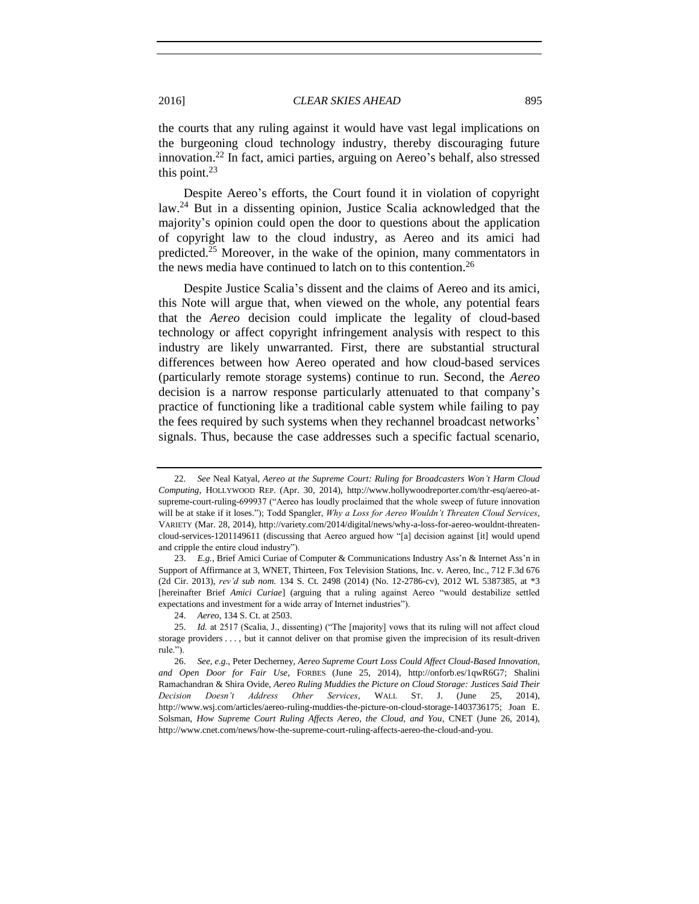<span id="page-4-0"></span>the courts that any ruling against it would have vast legal implications on the burgeoning cloud technology industry, thereby discouraging future innovation.<sup>22</sup> In fact, amici parties, arguing on Aereo's behalf, also stressed this point. $23$ 

Despite Aereo's efforts, the Court found it in violation of copyright law.<sup>24</sup> But in a dissenting opinion, Justice Scalia acknowledged that the majority's opinion could open the door to questions about the application of copyright law to the cloud industry, as Aereo and its amici had predicted.<sup>25</sup> Moreover, in the wake of the opinion, many commentators in the news media have continued to latch on to this contention.<sup>26</sup>

Despite Justice Scalia's dissent and the claims of Aereo and its amici, this Note will argue that, when viewed on the whole, any potential fears that the *Aereo* decision could implicate the legality of cloud-based technology or affect copyright infringement analysis with respect to this industry are likely unwarranted. First, there are substantial structural differences between how Aereo operated and how cloud-based services (particularly remote storage systems) continue to run. Second, the *Aereo*  decision is a narrow response particularly attenuated to that company's practice of functioning like a traditional cable system while failing to pay the fees required by such systems when they rechannel broadcast networks' signals. Thus, because the case addresses such a specific factual scenario,

<sup>22.</sup> *See* Neal Katyal, *Aereo at the Supreme Court: Ruling for Broadcasters Won't Harm Cloud Computing*, HOLLYWOOD REP. (Apr. 30, 2014), http://www.hollywoodreporter.com/thr-esq/aereo-atsupreme-court-ruling-699937 ("Aereo has loudly proclaimed that the whole sweep of future innovation will be at stake if it loses."); Todd Spangler, *Why a Loss for Aereo Wouldn't Threaten Cloud Services*, VARIETY (Mar. 28, 2014), http://variety.com/2014/digital/news/why-a-loss-for-aereo-wouldnt-threatencloud-services-1201149611 (discussing that Aereo argued how "[a] decision against [it] would upend and cripple the entire cloud industry").

<sup>23.</sup> *E.g.*, Brief Amici Curiae of Computer & Communications Industry Ass'n & Internet Ass'n in Support of Affirmance at 3, WNET, Thirteen, Fox Television Stations, Inc. v. Aereo, Inc., 712 F.3d 676 (2d Cir. 2013), *rev'd sub nom.* 134 S. Ct. 2498 (2014) (No. 12-2786-cv), 2012 WL 5387385, at \*3 [hereinafter Brief *Amici Curiae*] (arguing that a ruling against Aereo "would destabilize settled expectations and investment for a wide array of Internet industries").

<sup>24.</sup> *Aereo*, 134 S. Ct. at 2503.

<sup>25.</sup> *Id.* at 2517 (Scalia, J., dissenting) ("The [majority] vows that its ruling will not affect cloud storage providers . . . , but it cannot deliver on that promise given the imprecision of its result-driven rule.").

<sup>26.</sup> *See, e.g.*, Peter Decherney, *Aereo Supreme Court Loss Could Affect Cloud-Based Innovation, and Open Door for Fair Use*, FORBES (June 25, 2014), http://onforb.es/1qwR6G7; Shalini Ramachandran & Shira Ovide, *Aereo Ruling Muddies the Picture on Cloud Storage: Justices Said Their Decision Doesn't Address Other Services*, WALL ST. J. (June 25, 2014), http://www.wsj.com/articles/aereo-ruling-muddies-the-picture-on-cloud-storage-1403736175; Joan E. Solsman, *How Supreme Court Ruling Affects Aereo, the Cloud, and You*, CNET (June 26, 2014), http://www.cnet.com/news/how-the-supreme-court-ruling-affects-aereo-the-cloud-and-you.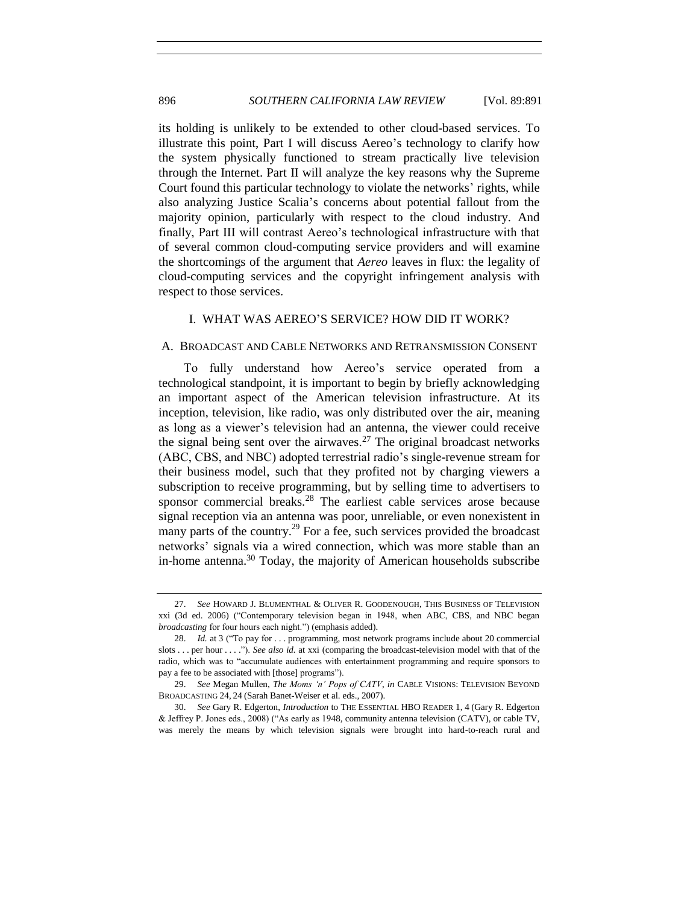its holding is unlikely to be extended to other cloud-based services. To illustrate this point, Part I will discuss Aereo's technology to clarify how the system physically functioned to stream practically live television through the Internet. Part II will analyze the key reasons why the Supreme Court found this particular technology to violate the networks' rights, while also analyzing Justice Scalia's concerns about potential fallout from the majority opinion, particularly with respect to the cloud industry. And finally, Part III will contrast Aereo's technological infrastructure with that of several common cloud-computing service providers and will examine the shortcomings of the argument that *Aereo* leaves in flux: the legality of cloud-computing services and the copyright infringement analysis with respect to those services.

#### <span id="page-5-1"></span>I. WHAT WAS AEREO'S SERVICE? HOW DID IT WORK?

#### A. BROADCAST AND CABLE NETWORKS AND RETRANSMISSION CONSENT

To fully understand how Aereo's service operated from a technological standpoint, it is important to begin by briefly acknowledging an important aspect of the American television infrastructure. At its inception, television, like radio, was only distributed over the air, meaning as long as a viewer's television had an antenna, the viewer could receive the signal being sent over the airwaves.<sup>27</sup> The original broadcast networks (ABC, CBS, and NBC) adopted terrestrial radio's single-revenue stream for their business model, such that they profited not by charging viewers a subscription to receive programming, but by selling time to advertisers to sponsor commercial breaks. $28$  The earliest cable services arose because signal reception via an antenna was poor, unreliable, or even nonexistent in many parts of the country.<sup>29</sup> For a fee, such services provided the broadcast networks' signals via a wired connection, which was more stable than an in-home antenna.<sup>30</sup> Today, the majority of American households subscribe

<span id="page-5-0"></span><sup>27.</sup> *See* HOWARD J. BLUMENTHAL & OLIVER R. GOODENOUGH, THIS BUSINESS OF TELEVISION xxi (3d ed. 2006) ("Contemporary television began in 1948, when ABC, CBS, and NBC began *broadcasting* for four hours each night.") (emphasis added).

<sup>28.</sup> *Id.* at 3 ("To pay for . . . programming, most network programs include about 20 commercial slots . . . per hour . . . ."). *See also id.* at xxi (comparing the broadcast-television model with that of the radio, which was to "accumulate audiences with entertainment programming and require sponsors to pay a fee to be associated with [those] programs").

<sup>29.</sup> *See* Megan Mullen, *The Moms 'n' Pops of CATV*, *in* CABLE VISIONS: TELEVISION BEYOND BROADCASTING 24, 24 (Sarah Banet-Weiser et al. eds., 2007).

<sup>30.</sup> *See* Gary R. Edgerton, *Introduction* to THE ESSENTIAL HBO READER 1, 4 (Gary R. Edgerton & Jeffrey P. Jones eds., 2008) ("As early as 1948, community antenna television (CATV), or cable TV, was merely the means by which television signals were brought into hard-to-reach rural and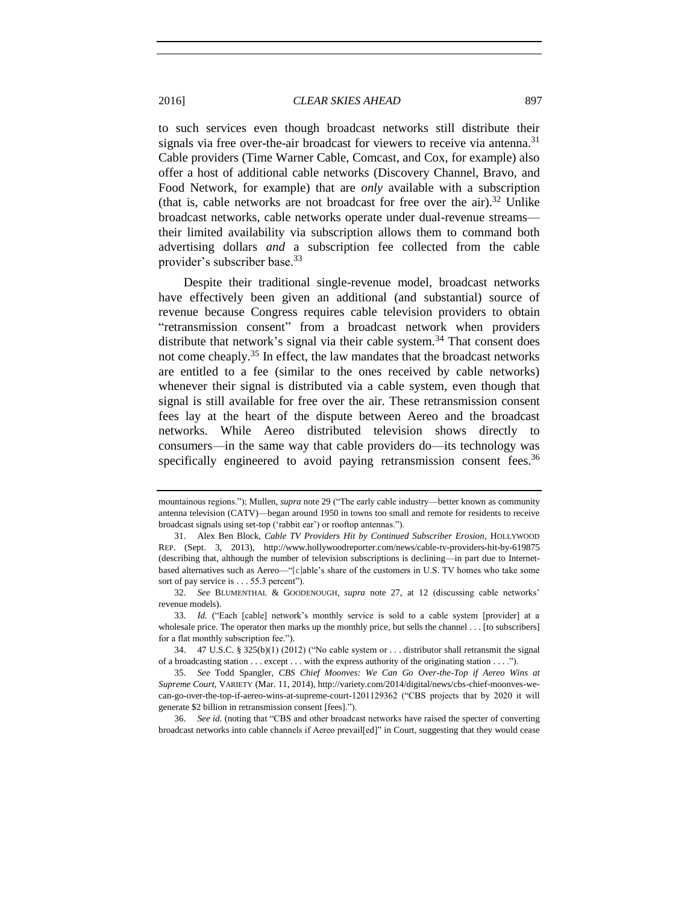to such services even though broadcast networks still distribute their signals via free over-the-air broadcast for viewers to receive via antenna.<sup>31</sup> Cable providers (Time Warner Cable, Comcast, and Cox, for example) also offer a host of additional cable networks (Discovery Channel, Bravo, and Food Network, for example) that are *only* available with a subscription (that is, cable networks are not broadcast for free over the air).<sup>32</sup> Unlike broadcast networks, cable networks operate under dual-revenue streams their limited availability via subscription allows them to command both advertising dollars *and* a subscription fee collected from the cable provider's subscriber base.<sup>33</sup>

Despite their traditional single-revenue model, broadcast networks have effectively been given an additional (and substantial) source of revenue because Congress requires cable television providers to obtain "retransmission consent" from a broadcast network when providers distribute that network's signal via their cable system.<sup>34</sup> That consent does not come cheaply.<sup>35</sup> In effect, the law mandates that the broadcast networks are entitled to a fee (similar to the ones received by cable networks) whenever their signal is distributed via a cable system, even though that signal is still available for free over the air. These retransmission consent fees lay at the heart of the dispute between Aereo and the broadcast networks. While Aereo distributed television shows directly to consumers—in the same way that cable providers do—its technology was specifically engineered to avoid paying retransmission consent fees.<sup>36</sup>

mountainous regions."); Mullen, *supra* not[e 29](#page-5-0) ("The early cable industry—better known as community antenna television (CATV)—began around 1950 in towns too small and remote for residents to receive broadcast signals using set-top ('rabbit ear') or rooftop antennas.").

<sup>31.</sup> Alex Ben Block, *Cable TV Providers Hit by Continued Subscriber Erosion*, HOLLYWOOD REP. (Sept. 3, 2013), http://www.hollywoodreporter.com/news/cable-tv-providers-hit-by-619875 (describing that, although the number of television subscriptions is declining—in part due to Internetbased alternatives such as Aereo—"[c]able's share of the customers in U.S. TV homes who take some sort of pay service is . . . 55.3 percent").

<sup>32.</sup> *See* BLUMENTHAL & GOODENOUGH, *supra* note [27,](#page-5-1) at 12 (discussing cable networks' revenue models).

<sup>33.</sup> *Id.* ("Each [cable] network's monthly service is sold to a cable system [provider] at a wholesale price. The operator then marks up the monthly price, but sells the channel . . . [to subscribers] for a flat monthly subscription fee.").

<sup>34.</sup> 47 U.S.C. § 325(b)(1) (2012) ("No cable system or . . . distributor shall retransmit the signal of a broadcasting station . . . except . . . with the express authority of the originating station . . . .").

<sup>35.</sup> *See* Todd Spangler, *CBS Chief Moonves: We Can Go Over-the-Top if Aereo Wins at Supreme Court*, VARIETY (Mar. 11, 2014), http://variety.com/2014/digital/news/cbs-chief-moonves-wecan-go-over-the-top-if-aereo-wins-at-supreme-court-1201129362 ("CBS projects that by 2020 it will generate \$2 billion in retransmission consent [fees].").

<sup>36.</sup> *See id.* (noting that "CBS and other broadcast networks have raised the specter of converting broadcast networks into cable channels if Aereo prevail[ed]" in Court, suggesting that they would cease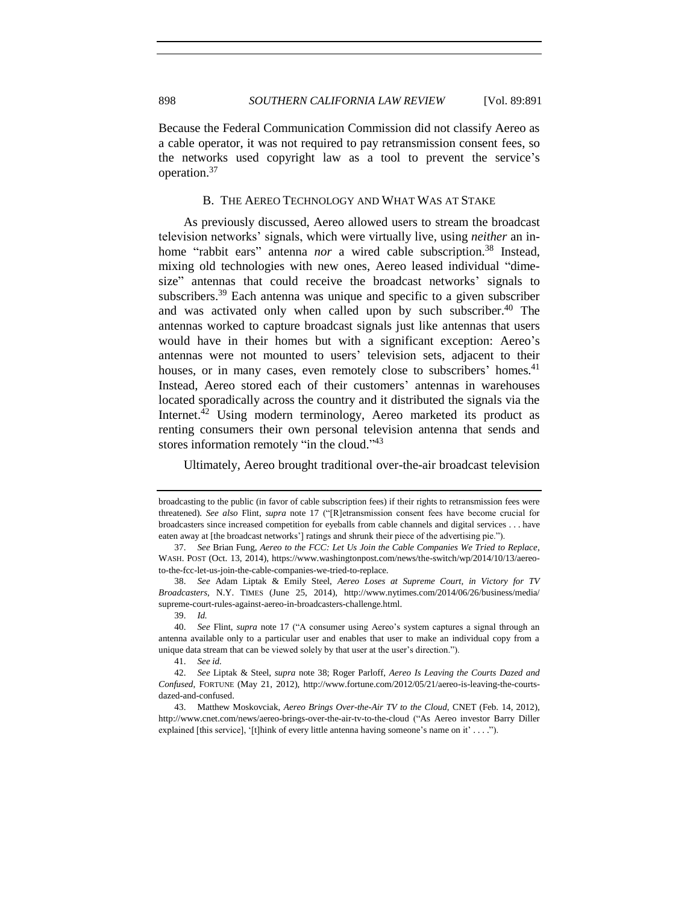Because the Federal Communication Commission did not classify Aereo as a cable operator, it was not required to pay retransmission consent fees, so the networks used copyright law as a tool to prevent the service's operation.<sup>37</sup>

#### <span id="page-7-1"></span><span id="page-7-0"></span>B. THE AEREO TECHNOLOGY AND WHAT WAS AT STAKE

As previously discussed, Aereo allowed users to stream the broadcast television networks' signals, which were virtually live, using *neither* an inhome "rabbit ears" antenna *nor* a wired cable subscription.<sup>38</sup> Instead, mixing old technologies with new ones, Aereo leased individual "dimesize" antennas that could receive the broadcast networks' signals to subscribers.<sup>39</sup> Each antenna was unique and specific to a given subscriber and was activated only when called upon by such subscriber. <sup>40</sup> The antennas worked to capture broadcast signals just like antennas that users would have in their homes but with a significant exception: Aereo's antennas were not mounted to users' television sets, adjacent to their houses, or in many cases, even remotely close to subscribers' homes.<sup>41</sup> Instead, Aereo stored each of their customers' antennas in warehouses located sporadically across the country and it distributed the signals via the Internet.<sup>42</sup> Using modern terminology, Aereo marketed its product as renting consumers their own personal television antenna that sends and stores information remotely "in the cloud."<sup>43</sup>

Ultimately, Aereo brought traditional over-the-air broadcast television

broadcasting to the public (in favor of cable subscription fees) if their rights to retransmission fees were threatened). *See also* Flint, *supra* note [17](#page-3-0) ("[R]etransmission consent fees have become crucial for broadcasters since increased competition for eyeballs from cable channels and digital services . . . have eaten away at [the broadcast networks'] ratings and shrunk their piece of the advertising pie.").

<sup>37.</sup> *See* Brian Fung, *Aereo to the FCC: Let Us Join the Cable Companies We Tried to Replace*, WASH. POST (Oct. 13, 2014), https://www.washingtonpost.com/news/the-switch/wp/2014/10/13/aereoto-the-fcc-let-us-join-the-cable-companies-we-tried-to-replace.

<sup>38.</sup> *See* Adam Liptak & Emily Steel, *Aereo Loses at Supreme Court, in Victory for TV Broadcasters*, N.Y. TIMES (June 25, 2014), http://www.nytimes.com/2014/06/26/business/media/ supreme-court-rules-against-aereo-in-broadcasters-challenge.html.

<sup>39.</sup> *Id.*

<sup>40.</sup> *See* Flint, *supra* note [17](#page-3-0) ("A consumer using Aereo's system captures a signal through an antenna available only to a particular user and enables that user to make an individual copy from a unique data stream that can be viewed solely by that user at the user's direction.").

<sup>41.</sup> *See id.*

<sup>42.</sup> *See* Liptak & Steel, *supra* note [38;](#page-7-0) Roger Parloff, *Aereo Is Leaving the Courts Dazed and Confused*, FORTUNE (May 21, 2012), http://www.fortune.com/2012/05/21/aereo-is-leaving-the-courtsdazed-and-confused.

<sup>43.</sup> Matthew Moskovciak, *Aereo Brings Over-the-Air TV to the Cloud*, CNET (Feb. 14, 2012), http://www.cnet.com/news/aereo-brings-over-the-air-tv-to-the-cloud ("As Aereo investor Barry Diller explained [this service], '[t]hink of every little antenna having someone's name on it' . . . .").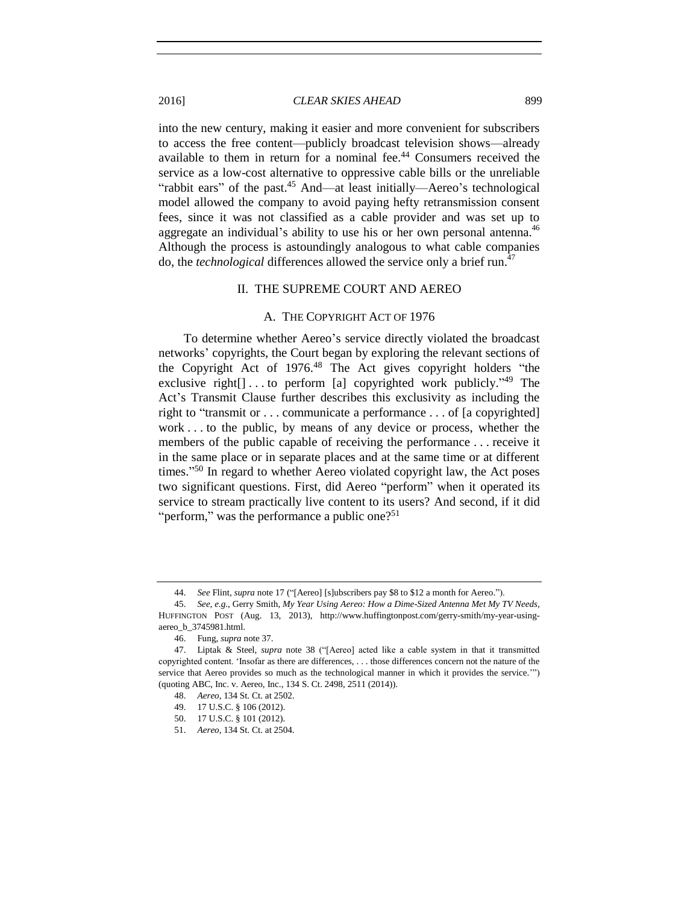into the new century, making it easier and more convenient for subscribers to access the free content—publicly broadcast television shows—already available to them in return for a nominal fee.<sup>44</sup> Consumers received the service as a low-cost alternative to oppressive cable bills or the unreliable "rabbit ears" of the past.<sup>45</sup> And—at least initially—Aereo's technological model allowed the company to avoid paying hefty retransmission consent fees, since it was not classified as a cable provider and was set up to aggregate an individual's ability to use his or her own personal antenna.<sup>46</sup> Although the process is astoundingly analogous to what cable companies do, the *technological* differences allowed the service only a brief run.<sup>47</sup>

#### II. THE SUPREME COURT AND AEREO

#### A. THE COPYRIGHT ACT OF 1976

To determine whether Aereo's service directly violated the broadcast networks' copyrights, the Court began by exploring the relevant sections of the Copyright Act of 1976.<sup>48</sup> The Act gives copyright holders "the exclusive right $[$ ]...to perform [a] copyrighted work publicly.<sup>249</sup> The Act's Transmit Clause further describes this exclusivity as including the right to "transmit or . . . communicate a performance . . . of [a copyrighted] work . . . to the public, by means of any device or process, whether the members of the public capable of receiving the performance . . . receive it in the same place or in separate places and at the same time or at different times." <sup>50</sup> In regard to whether Aereo violated copyright law, the Act poses two significant questions. First, did Aereo "perform" when it operated its service to stream practically live content to its users? And second, if it did "perform," was the performance a public one? $51$ 

<sup>44.</sup> *See* Flint, *supra* not[e 17](#page-3-0) ("[Aereo] [s]ubscribers pay \$8 to \$12 a month for Aereo.").

<sup>45.</sup> *See, e.g.*, Gerry Smith, *My Year Using Aereo: How a Dime-Sized Antenna Met My TV Needs*, HUFFINGTON POST (Aug. 13, 2013), http://www.huffingtonpost.com/gerry-smith/my-year-usingaereo\_b\_3745981.html.

<sup>46.</sup> Fung, *supra* not[e 37.](#page-7-1)

<sup>47.</sup> Liptak & Steel, *supra* note [38](#page-7-0) ("[Aereo] acted like a cable system in that it transmitted copyrighted content. 'Insofar as there are differences, . . . those differences concern not the nature of the service that Aereo provides so much as the technological manner in which it provides the service.'") (quoting ABC, Inc. v. Aereo, Inc., 134 S. Ct. 2498, 2511 (2014)).

<sup>48.</sup> *Aereo*, 134 St. Ct. at 2502.

<sup>49.</sup> 17 U.S.C. § 106 (2012).

<sup>50.</sup> 17 U.S.C. § 101 (2012).

<sup>51.</sup> *Aereo*, 134 St. Ct. at 2504.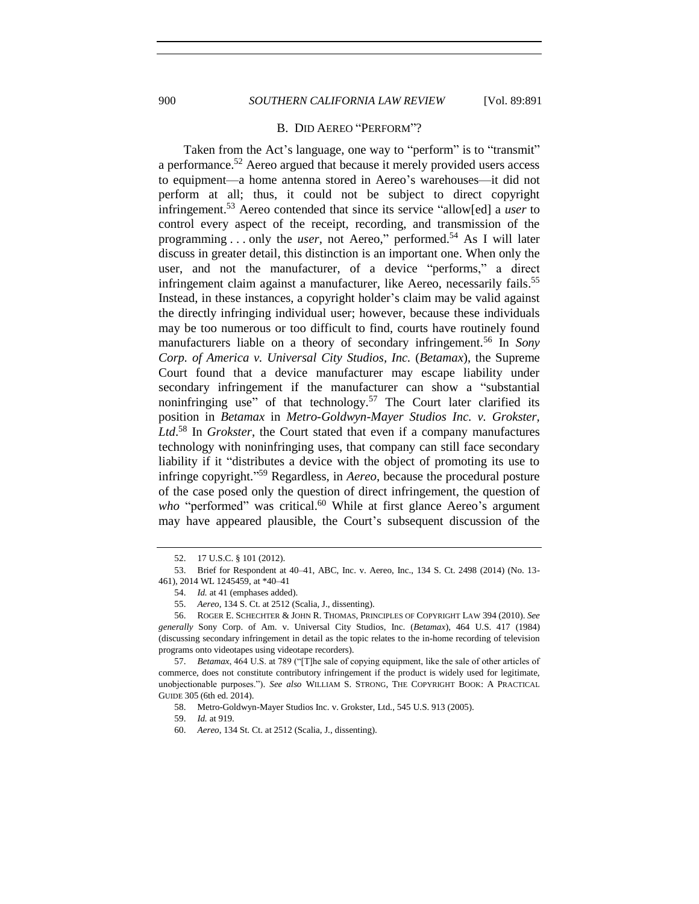# 900 *SOUTHERN CALIFORNIA LAW REVIEW* [Vol. 89:891

#### <span id="page-9-0"></span>B. DID AEREO "PERFORM"?

Taken from the Act's language, one way to "perform" is to "transmit" a performance.<sup>52</sup> Aereo argued that because it merely provided users access to equipment—a home antenna stored in Aereo's warehouses—it did not perform at all; thus, it could not be subject to direct copyright infringement.<sup>53</sup> Aereo contended that since its service "allow[ed] a *user* to control every aspect of the receipt, recording, and transmission of the programming . . . only the *user*, not Aereo," performed. <sup>54</sup> As I will later discuss in greater detail, this distinction is an important one. When only the user, and not the manufacturer, of a device "performs," a direct infringement claim against a manufacturer, like Aereo, necessarily fails.<sup>55</sup> Instead, in these instances, a copyright holder's claim may be valid against the directly infringing individual user; however, because these individuals may be too numerous or too difficult to find, courts have routinely found manufacturers liable on a theory of secondary infringement.<sup>56</sup> In *Sony Corp. of America v. Universal City Studios, Inc.* (*Betamax*), the Supreme Court found that a device manufacturer may escape liability under secondary infringement if the manufacturer can show a "substantial noninfringing use" of that technology.<sup>57</sup> The Court later clarified its position in *Betamax* in *Metro-Goldwyn-Mayer Studios Inc. v. Grokster, Ltd*. <sup>58</sup> In *Grokster*, the Court stated that even if a company manufactures technology with noninfringing uses, that company can still face secondary liability if it "distributes a device with the object of promoting its use to infringe copyright." <sup>59</sup> Regardless, in *Aereo*, because the procedural posture of the case posed only the question of direct infringement, the question of who "performed" was critical.<sup>60</sup> While at first glance Aereo's argument may have appeared plausible, the Court's subsequent discussion of the

<sup>52.</sup> 17 U.S.C. § 101 (2012).

<sup>53.</sup> Brief for Respondent at 40–41, ABC, Inc. v. Aereo, Inc., 134 S. Ct. 2498 (2014) (No. 13- 461), 2014 WL 1245459, at \*40–41

<sup>54.</sup> *Id.* at 41 (emphases added).

<sup>55.</sup> *Aereo*, 134 S. Ct. at 2512 (Scalia, J., dissenting).

<sup>56.</sup> ROGER E. SCHECHTER & JOHN R. THOMAS, PRINCIPLES OF COPYRIGHT LAW 394 (2010). *See generally* Sony Corp. of Am. v. Universal City Studios, Inc. (*Betamax*), 464 U.S. 417 (1984) (discussing secondary infringement in detail as the topic relates to the in-home recording of television programs onto videotapes using videotape recorders).

<sup>57.</sup> *Betamax*, 464 U.S. at 789 ("[T]he sale of copying equipment, like the sale of other articles of commerce, does not constitute contributory infringement if the product is widely used for legitimate, unobjectionable purposes."). *See also* WILLIAM S. STRONG, THE COPYRIGHT BOOK: A PRACTICAL GUIDE 305 (6th ed. 2014).

<sup>58.</sup> Metro-Goldwyn-Mayer Studios Inc. v. Grokster, Ltd., 545 U.S. 913 (2005).

<sup>59.</sup> *Id.* at 919.

<sup>60.</sup> *Aereo*, 134 St. Ct. at 2512 (Scalia, J., dissenting).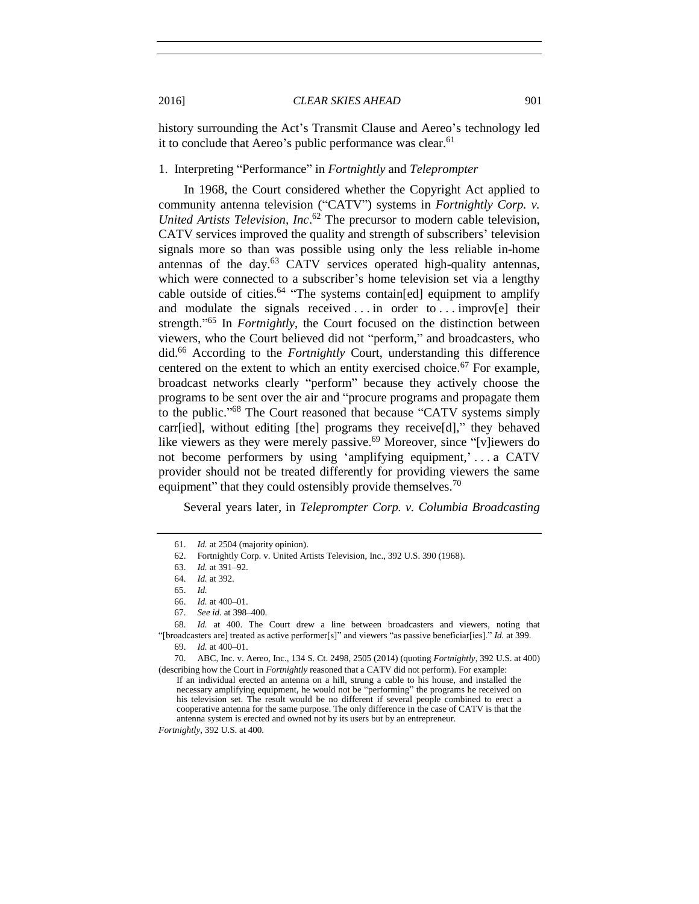history surrounding the Act's Transmit Clause and Aereo's technology led it to conclude that Aereo's public performance was clear.<sup>61</sup>

# 1. Interpreting "Performance" in *Fortnightly* and *Teleprompter*

In 1968, the Court considered whether the Copyright Act applied to community antenna television ("CATV") systems in *Fortnightly Corp. v. United Artists Television, Inc*. <sup>62</sup> The precursor to modern cable television, CATV services improved the quality and strength of subscribers' television signals more so than was possible using only the less reliable in-home antennas of the day. $63$  CATV services operated high-quality antennas, which were connected to a subscriber's home television set via a lengthy cable outside of cities.<sup>64</sup> "The systems contain[ed] equipment to amplify and modulate the signals received . . . in order to . . . improv[e] their strength." <sup>65</sup> In *Fortnightly*, the Court focused on the distinction between viewers, who the Court believed did not "perform," and broadcasters, who did.<sup>66</sup> According to the *Fortnightly* Court, understanding this difference centered on the extent to which an entity exercised choice.<sup>67</sup> For example, broadcast networks clearly "perform" because they actively choose the programs to be sent over the air and "procure programs and propagate them to the public." <sup>68</sup> The Court reasoned that because "CATV systems simply carr[ied], without editing [the] programs they receive[d]," they behaved like viewers as they were merely passive.<sup>69</sup> Moreover, since "[v]iewers do not become performers by using 'amplifying equipment,' . . . a CATV provider should not be treated differently for providing viewers the same equipment" that they could ostensibly provide themselves.<sup>70</sup>

Several years later, in *Teleprompter Corp. v. Columbia Broadcasting* 

68. *Id.* at 400. The Court drew a line between broadcasters and viewers, noting that "[broadcasters are] treated as active performer[s]" and viewers "as passive beneficiar[ies]." *Id.* at 399. 69. *Id.* at 400–01.

70. ABC, Inc. v. Aereo, Inc., 134 S. Ct. 2498, 2505 (2014) (quoting *Fortnightly*, 392 U.S. at 400) (describing how the Court in *Fortnightly* reasoned that a CATV did not perform). For example:

If an individual erected an antenna on a hill, strung a cable to his house, and installed the necessary amplifying equipment, he would not be "performing" the programs he received on his television set. The result would be no different if several people combined to erect a cooperative antenna for the same purpose. The only difference in the case of CATV is that the antenna system is erected and owned not by its users but by an entrepreneur.

*Fortnightly*, 392 U.S. at 400.

<sup>61.</sup> *Id.* at 2504 (majority opinion).

<sup>62.</sup> Fortnightly Corp. v. United Artists Television, Inc., 392 U.S. 390 (1968).

<sup>63.</sup> *Id.* at 391–92.

<sup>64.</sup> *Id.* at 392.

<sup>65.</sup> *Id.*

<sup>66.</sup> *Id.* at 400–01.

<sup>67.</sup> *See id.* at 398–400.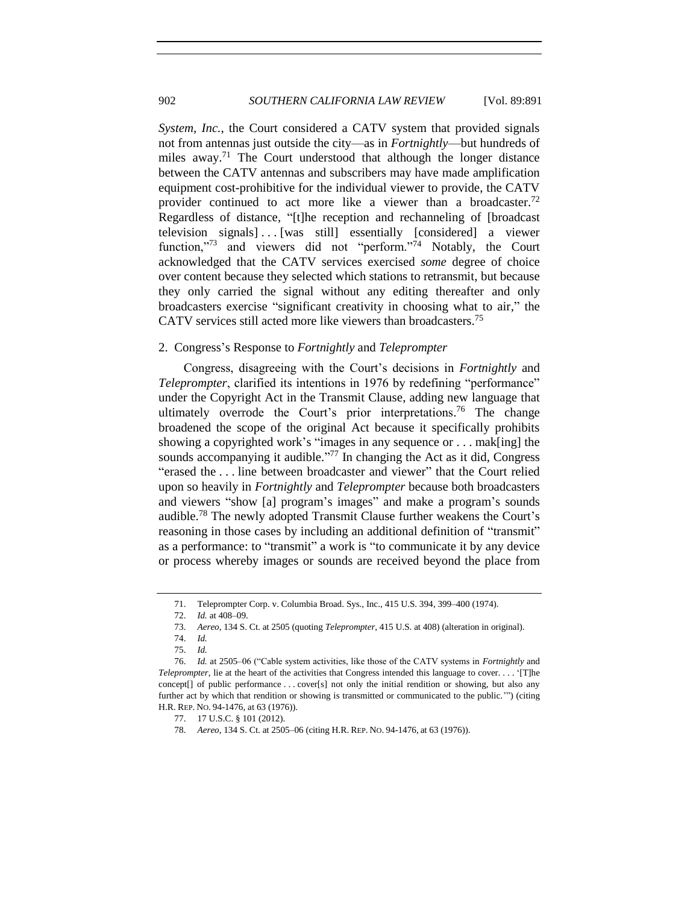*System, Inc.*, the Court considered a CATV system that provided signals not from antennas just outside the city—as in *Fortnightly*—but hundreds of miles away.<sup>71</sup> The Court understood that although the longer distance between the CATV antennas and subscribers may have made amplification equipment cost-prohibitive for the individual viewer to provide, the CATV provider continued to act more like a viewer than a broadcaster.<sup>72</sup> Regardless of distance, "[t]he reception and rechanneling of [broadcast television signals]... [was still] essentially [considered] a viewer function,"<sup>73</sup> and viewers did not "perform."<sup>74</sup> Notably, the Court acknowledged that the CATV services exercised *some* degree of choice over content because they selected which stations to retransmit, but because they only carried the signal without any editing thereafter and only broadcasters exercise "significant creativity in choosing what to air," the CATV services still acted more like viewers than broadcasters.<sup>75</sup>

#### 2. Congress's Response to *Fortnightly* and *Teleprompter*

Congress, disagreeing with the Court's decisions in *Fortnightly* and *Teleprompter*, clarified its intentions in 1976 by redefining "performance" under the Copyright Act in the Transmit Clause, adding new language that ultimately overrode the Court's prior interpretations.<sup>76</sup> The change broadened the scope of the original Act because it specifically prohibits showing a copyrighted work's "images in any sequence or . . . mak[ing] the sounds accompanying it audible."<sup>77</sup> In changing the Act as it did, Congress "erased the . . . line between broadcaster and viewer" that the Court relied upon so heavily in *Fortnightly* and *Teleprompter* because both broadcasters and viewers "show [a] program's images" and make a program's sounds audible.<sup>78</sup> The newly adopted Transmit Clause further weakens the Court's reasoning in those cases by including an additional definition of "transmit" as a performance: to "transmit" a work is "to communicate it by any device or process whereby images or sounds are received beyond the place from

<sup>71.</sup> Teleprompter Corp. v. Columbia Broad. Sys., Inc., 415 U.S. 394, 399–400 (1974).

<sup>72.</sup> *Id.* at 408–09.

<sup>73.</sup> *Aereo*, 134 S. Ct. at 2505 (quoting *Teleprompter*, 415 U.S. at 408) (alteration in original).

<sup>74.</sup> *Id.*

<sup>75.</sup> *Id.*

<sup>76.</sup> *Id.* at 2505–06 ("Cable system activities, like those of the CATV systems in *Fortnightly* and *Teleprompter*, lie at the heart of the activities that Congress intended this language to cover. . . . '[T]he concept[] of public performance . . . cover[s] not only the initial rendition or showing, but also any further act by which that rendition or showing is transmitted or communicated to the public.'") (citing H.R. REP. NO. 94-1476, at 63 (1976)).

<sup>77.</sup> 17 U.S.C. § 101 (2012).

<sup>78.</sup> *Aereo*, 134 S. Ct. at 2505–06 (citing H.R. REP. NO. 94-1476, at 63 (1976)).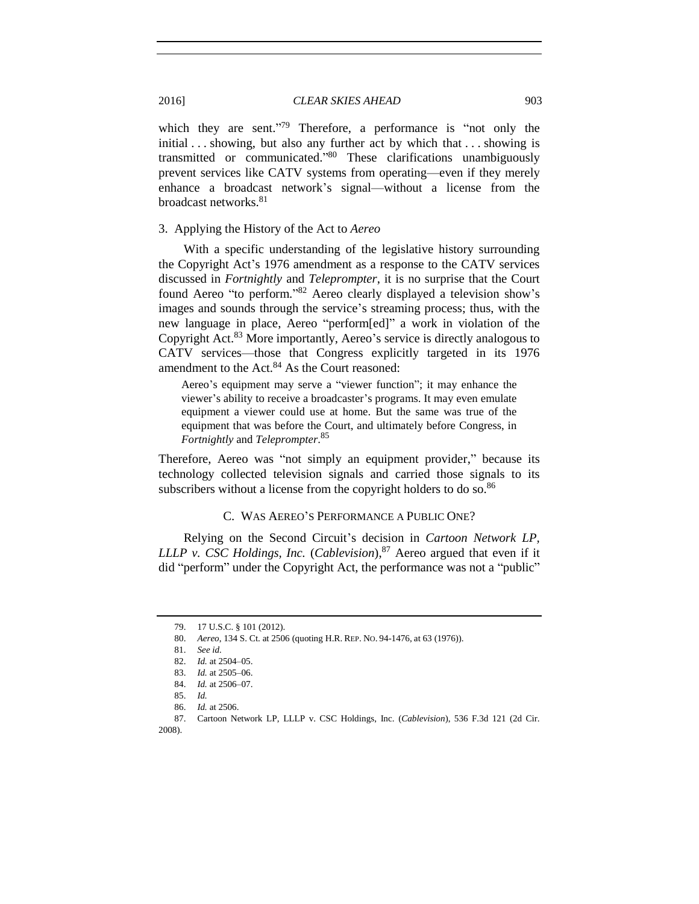which they are sent."<sup>79</sup> Therefore, a performance is "not only the initial . . . showing, but also any further act by which that . . . showing is transmitted or communicated." <sup>80</sup> These clarifications unambiguously prevent services like CATV systems from operating—even if they merely enhance a broadcast network's signal—without a license from the broadcast networks.<sup>81</sup>

#### 3. Applying the History of the Act to *Aereo*

With a specific understanding of the legislative history surrounding the Copyright Act's 1976 amendment as a response to the CATV services discussed in *Fortnightly* and *Teleprompter*, it is no surprise that the Court found Aereo "to perform." <sup>82</sup> Aereo clearly displayed a television show's images and sounds through the service's streaming process; thus, with the new language in place, Aereo "perform[ed]" a work in violation of the Copyright Act.<sup>83</sup> More importantly, Aereo's service is directly analogous to CATV services—those that Congress explicitly targeted in its 1976 amendment to the Act.<sup>84</sup> As the Court reasoned:

Aereo's equipment may serve a "viewer function"; it may enhance the viewer's ability to receive a broadcaster's programs. It may even emulate equipment a viewer could use at home. But the same was true of the equipment that was before the Court, and ultimately before Congress, in *Fortnightly* and *Teleprompter*. 85

Therefore, Aereo was "not simply an equipment provider," because its technology collected television signals and carried those signals to its subscribers without a license from the copyright holders to do so.<sup>86</sup>

#### C. WAS AEREO'S PERFORMANCE A PUBLIC ONE?

Relying on the Second Circuit's decision in *Cartoon Network LP, LLLP v. CSC Holdings, Inc.* (*Cablevision*), <sup>87</sup> Aereo argued that even if it did "perform" under the Copyright Act, the performance was not a "public"

<sup>79.</sup> 17 U.S.C. § 101 (2012).

<sup>80.</sup> *Aereo*, 134 S. Ct. at 2506 (quoting H.R. REP. NO. 94-1476, at 63 (1976)).

<sup>81.</sup> *See id.*

<sup>82.</sup> *Id.* at 2504–05.

<sup>83.</sup> *Id.* at 2505–06.

<sup>84.</sup> *Id.* at 2506–07.

<sup>85.</sup> *Id.*

<sup>86.</sup> *Id.* at 2506.

<sup>87.</sup> Cartoon Network LP, LLLP v. CSC Holdings, Inc. (*Cablevision*), 536 F.3d 121 (2d Cir. 2008).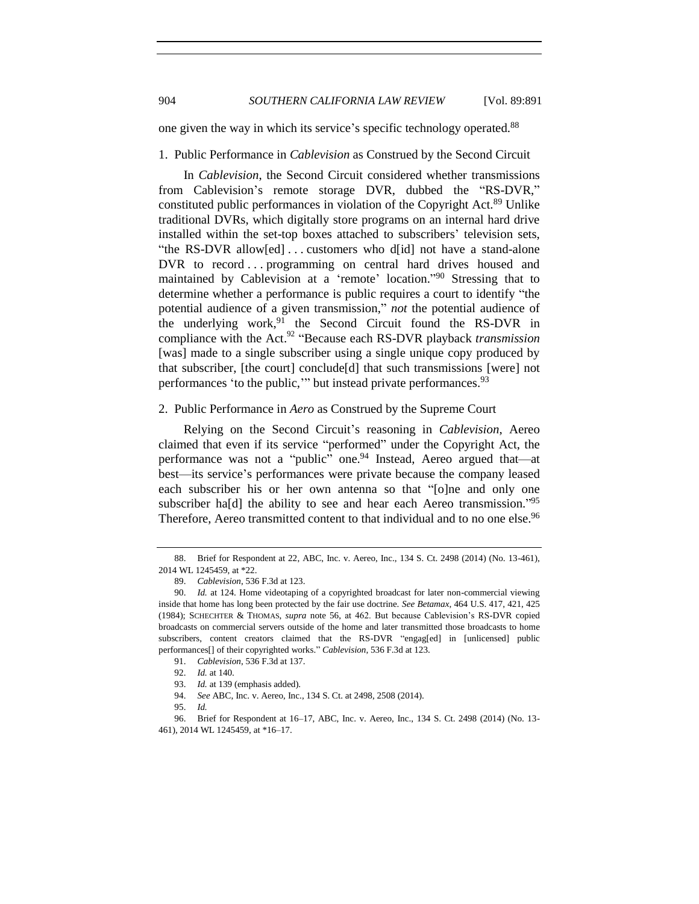one given the way in which its service's specific technology operated.<sup>88</sup>

#### 1. Public Performance in *Cablevision* as Construed by the Second Circuit

In *Cablevision*, the Second Circuit considered whether transmissions from Cablevision's remote storage DVR, dubbed the "RS-DVR," constituted public performances in violation of the Copyright Act.<sup>89</sup> Unlike traditional DVRs, which digitally store programs on an internal hard drive installed within the set-top boxes attached to subscribers' television sets, "the RS-DVR allow[ed] . . . customers who d[id] not have a stand-alone DVR to record ... programming on central hard drives housed and maintained by Cablevision at a 'remote' location."<sup>90</sup> Stressing that to determine whether a performance is public requires a court to identify "the potential audience of a given transmission," *not* the potential audience of the underlying work,<sup>91</sup> the Second Circuit found the RS-DVR in compliance with the Act. <sup>92</sup> "Because each RS-DVR playback *transmission* [was] made to a single subscriber using a single unique copy produced by that subscriber, [the court] conclude[d] that such transmissions [were] not performances 'to the public,'" but instead private performances.<sup>93</sup>

#### 2. Public Performance in *Aero* as Construed by the Supreme Court

Relying on the Second Circuit's reasoning in *Cablevision*, Aereo claimed that even if its service "performed" under the Copyright Act, the performance was not a "public" one. <sup>94</sup> Instead, Aereo argued that—at best—its service's performances were private because the company leased each subscriber his or her own antenna so that "[o]ne and only one subscriber ha[d] the ability to see and hear each Aereo transmission.<sup>795</sup> Therefore, Aereo transmitted content to that individual and to no one else.<sup>96</sup>

<sup>88.</sup> Brief for Respondent at 22, ABC, Inc. v. Aereo, Inc., 134 S. Ct. 2498 (2014) (No. 13-461), 2014 WL 1245459, at \*22.

<sup>89.</sup> *Cablevision*, 536 F.3d at 123.

<sup>90.</sup> *Id.* at 124. Home videotaping of a copyrighted broadcast for later non-commercial viewing inside that home has long been protected by the fair use doctrine. *See Betamax*, 464 U.S. 417, 421, 425 (1984); SCHECHTER & THOMAS, *supra* note [56,](#page-9-0) at 462. But because Cablevision's RS-DVR copied broadcasts on commercial servers outside of the home and later transmitted those broadcasts to home subscribers, content creators claimed that the RS-DVR "engag[ed] in [unlicensed] public performances[] of their copyrighted works." *Cablevision*, 536 F.3d at 123.

<sup>91.</sup> *Cablevision*, 536 F.3d at 137.

<sup>92.</sup> *Id.* at 140.

<sup>93.</sup> *Id.* at 139 (emphasis added).

<sup>94.</sup> *See* ABC, Inc. v. Aereo, Inc., 134 S. Ct. at 2498, 2508 (2014).

<sup>95.</sup> *Id.*

<sup>96.</sup> Brief for Respondent at 16–17, ABC, Inc. v. Aereo, Inc., 134 S. Ct. 2498 (2014) (No. 13- 461), 2014 WL 1245459, at \*16–17.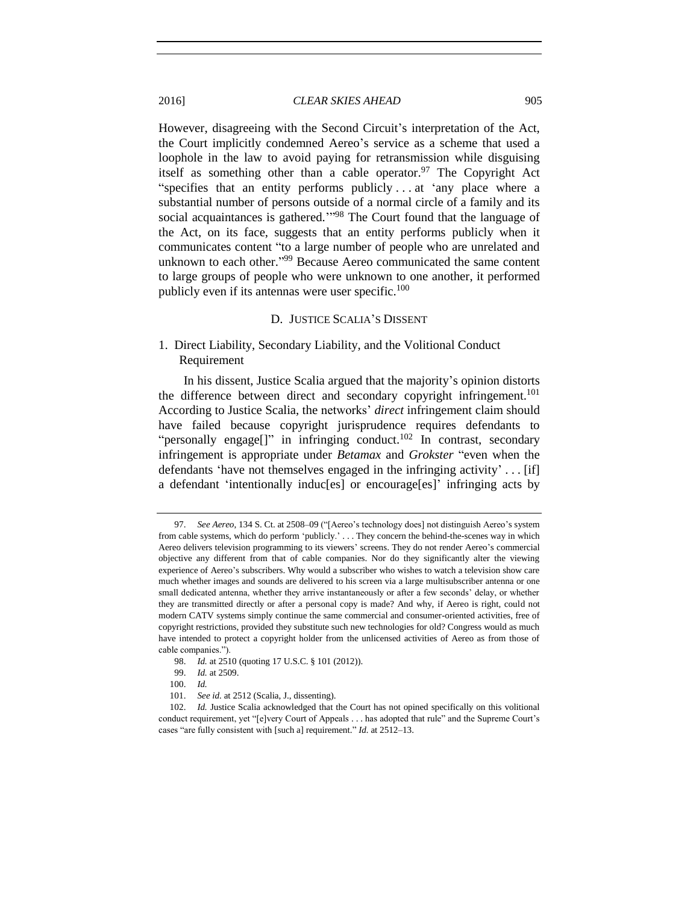However, disagreeing with the Second Circuit's interpretation of the Act, the Court implicitly condemned Aereo's service as a scheme that used a loophole in the law to avoid paying for retransmission while disguising itself as something other than a cable operator.<sup>97</sup> The Copyright Act "specifies that an entity performs publicly . . . at 'any place where a substantial number of persons outside of a normal circle of a family and its social acquaintances is gathered."<sup>98</sup> The Court found that the language of the Act, on its face, suggests that an entity performs publicly when it communicates content "to a large number of people who are unrelated and unknown to each other."<sup>99</sup> Because Aereo communicated the same content to large groups of people who were unknown to one another, it performed publicly even if its antennas were user specific.<sup>100</sup>

#### D. JUSTICE SCALIA'S DISSENT

# 1. Direct Liability, Secondary Liability, and the Volitional Conduct Requirement

In his dissent, Justice Scalia argued that the majority's opinion distorts the difference between direct and secondary copyright infringement.<sup>101</sup> According to Justice Scalia, the networks' *direct* infringement claim should have failed because copyright jurisprudence requires defendants to "personally engage[]" in infringing conduct.<sup>102</sup> In contrast, secondary infringement is appropriate under *Betamax* and *Grokster* "even when the defendants 'have not themselves engaged in the infringing activity' . . . [if] a defendant 'intentionally induc[es] or encourage[es]' infringing acts by

<sup>97.</sup> *See Aereo*, 134 S. Ct. at 2508–09 ("[Aereo's technology does] not distinguish Aereo's system from cable systems, which do perform 'publicly.' . . . They concern the behind-the-scenes way in which Aereo delivers television programming to its viewers' screens. They do not render Aereo's commercial objective any different from that of cable companies. Nor do they significantly alter the viewing experience of Aereo's subscribers. Why would a subscriber who wishes to watch a television show care much whether images and sounds are delivered to his screen via a large multisubscriber antenna or one small dedicated antenna, whether they arrive instantaneously or after a few seconds' delay, or whether they are transmitted directly or after a personal copy is made? And why, if Aereo is right, could not modern CATV systems simply continue the same commercial and consumer-oriented activities, free of copyright restrictions, provided they substitute such new technologies for old? Congress would as much have intended to protect a copyright holder from the unlicensed activities of Aereo as from those of cable companies.").

<sup>98.</sup> *Id.* at 2510 (quoting 17 U.S.C. § 101 (2012)).

<sup>99.</sup> *Id.* at 2509.

<sup>100.</sup> *Id.* 

<sup>101.</sup> *See id.* at 2512 (Scalia, J., dissenting).

<sup>102.</sup> *Id.* Justice Scalia acknowledged that the Court has not opined specifically on this volitional conduct requirement, yet "[e]very Court of Appeals . . . has adopted that rule" and the Supreme Court's cases "are fully consistent with [such a] requirement." *Id.* at 2512–13.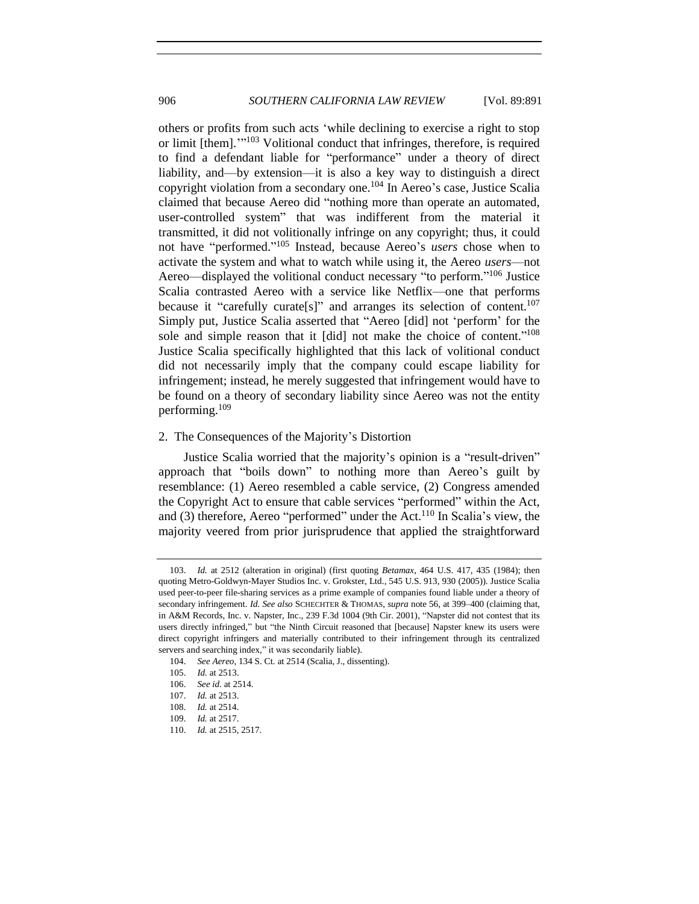906 *SOUTHERN CALIFORNIA LAW REVIEW* [Vol. 89:891

others or profits from such acts 'while declining to exercise a right to stop or limit [them].'"<sup>103</sup> Volitional conduct that infringes, therefore, is required to find a defendant liable for "performance" under a theory of direct liability, and—by extension—it is also a key way to distinguish a direct copyright violation from a secondary one.<sup>104</sup> In Aereo's case, Justice Scalia claimed that because Aereo did "nothing more than operate an automated, user-controlled system" that was indifferent from the material it transmitted, it did not volitionally infringe on any copyright; thus, it could not have "performed." <sup>105</sup> Instead, because Aereo's *users* chose when to activate the system and what to watch while using it, the Aereo *users*—not Aereo—displayed the volitional conduct necessary "to perform."<sup>106</sup> Justice Scalia contrasted Aereo with a service like Netflix—one that performs because it "carefully curate[s]" and arranges its selection of content.<sup>107</sup> Simply put, Justice Scalia asserted that "Aereo [did] not 'perform' for the sole and simple reason that it [did] not make the choice of content." 108 Justice Scalia specifically highlighted that this lack of volitional conduct did not necessarily imply that the company could escape liability for infringement; instead, he merely suggested that infringement would have to be found on a theory of secondary liability since Aereo was not the entity performing.<sup>109</sup>

#### 2. The Consequences of the Majority's Distortion

Justice Scalia worried that the majority's opinion is a "result-driven" approach that "boils down" to nothing more than Aereo's guilt by resemblance: (1) Aereo resembled a cable service, (2) Congress amended the Copyright Act to ensure that cable services "performed" within the Act, and (3) therefore, Aereo "performed" under the Act.<sup>110</sup> In Scalia's view, the majority veered from prior jurisprudence that applied the straightforward

<sup>103.</sup> *Id.* at 2512 (alteration in original) (first quoting *Betamax*, 464 U.S. 417, 435 (1984); then quoting Metro-Goldwyn-Mayer Studios Inc. v. Grokster, Ltd., 545 U.S. 913, 930 (2005)). Justice Scalia used peer-to-peer file-sharing services as a prime example of companies found liable under a theory of secondary infringement. *Id. See also* SCHECHTER & THOMAS, *supra* note [56,](#page-9-0) at 399–400 (claiming that, in A&M Records, Inc. v. Napster, Inc., 239 F.3d 1004 (9th Cir. 2001), "Napster did not contest that its users directly infringed," but "the Ninth Circuit reasoned that [because] Napster knew its users were direct copyright infringers and materially contributed to their infringement through its centralized servers and searching index," it was secondarily liable).

<sup>104.</sup> *See Aereo*, 134 S. Ct. at 2514 (Scalia, J., dissenting).

<sup>105.</sup> *Id.* at 2513.

<sup>106.</sup> *See id.* at 2514.

<sup>107.</sup> *Id.* at 2513.

<sup>108.</sup> *Id.* at 2514.

<sup>109.</sup> *Id.* at 2517.

<sup>110.</sup> *Id.* at 2515, 2517.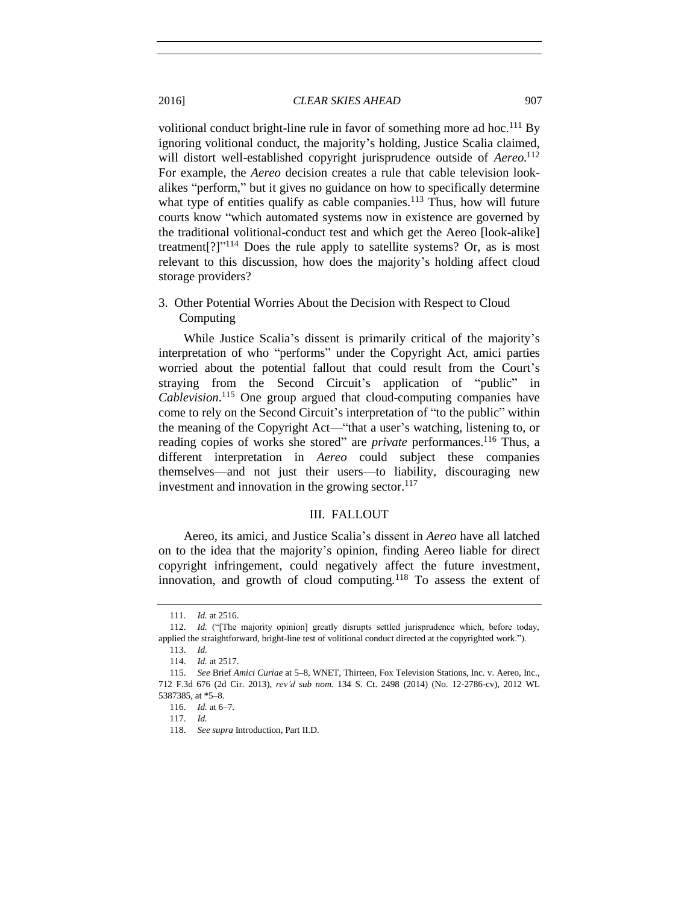volitional conduct bright-line rule in favor of something more ad hoc.<sup>111</sup> By ignoring volitional conduct, the majority's holding, Justice Scalia claimed, will distort well-established copyright jurisprudence outside of *Aereo*. 112 For example, the *Aereo* decision creates a rule that cable television lookalikes "perform," but it gives no guidance on how to specifically determine what type of entities qualify as cable companies.<sup>113</sup> Thus, how will future courts know "which automated systems now in existence are governed by the traditional volitional-conduct test and which get the Aereo [look-alike] treatment<sup>[?]"<sup>114</sup> Does the rule apply to satellite systems? Or, as is most</sup> relevant to this discussion, how does the majority's holding affect cloud storage providers?

3. Other Potential Worries About the Decision with Respect to Cloud Computing

While Justice Scalia's dissent is primarily critical of the majority's interpretation of who "performs" under the Copyright Act, amici parties worried about the potential fallout that could result from the Court's straying from the Second Circuit's application of "public" in *Cablevision*. <sup>115</sup> One group argued that cloud-computing companies have come to rely on the Second Circuit's interpretation of "to the public" within the meaning of the Copyright Act—"that a user's watching, listening to, or reading copies of works she stored" are *private* performances.<sup>116</sup> Thus, a different interpretation in *Aereo* could subject these companies themselves—and not just their users—to liability, discouraging new investment and innovation in the growing sector. $117$ 

#### III. FALLOUT

Aereo, its amici, and Justice Scalia's dissent in *Aereo* have all latched on to the idea that the majority's opinion, finding Aereo liable for direct copyright infringement, could negatively affect the future investment, innovation, and growth of cloud computing.<sup>118</sup> To assess the extent of

<sup>111.</sup> *Id.* at 2516.

<sup>112.</sup> *Id.* ("[The majority opinion] greatly disrupts settled jurisprudence which, before today, applied the straightforward, bright-line test of volitional conduct directed at the copyrighted work.").

<sup>113.</sup> *Id.*

<sup>114.</sup> *Id.* at 2517.

<sup>115.</sup> *See* Brief *Amici Curiae* at 5–8, WNET, Thirteen, Fox Television Stations, Inc. v. Aereo, Inc., 712 F.3d 676 (2d Cir. 2013), *rev'd sub nom.* 134 S. Ct. 2498 (2014) (No. 12-2786-cv), 2012 WL 5387385, at \*5–8.

<sup>116.</sup> *Id.* at 6–7.

<sup>117.</sup> *Id.*

<sup>118.</sup> *See supra* Introduction, Part II.D.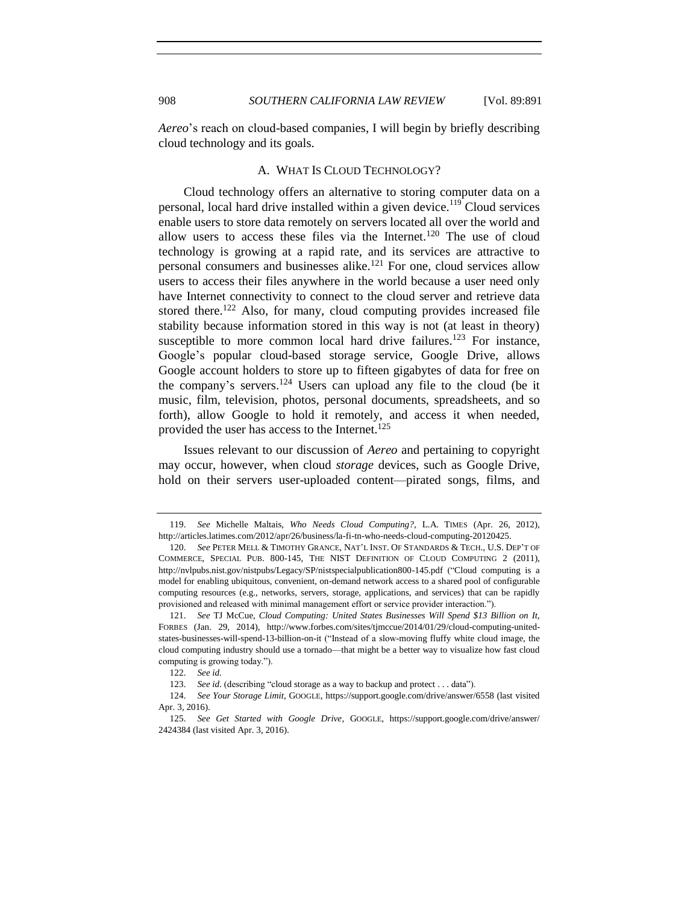*Aereo*'s reach on cloud-based companies, I will begin by briefly describing cloud technology and its goals.

#### A. WHAT IS CLOUD TECHNOLOGY?

Cloud technology offers an alternative to storing computer data on a personal, local hard drive installed within a given device.<sup>119</sup> Cloud services enable users to store data remotely on servers located all over the world and allow users to access these files via the Internet.<sup>120</sup> The use of cloud technology is growing at a rapid rate, and its services are attractive to personal consumers and businesses alike.<sup>121</sup> For one, cloud services allow users to access their files anywhere in the world because a user need only have Internet connectivity to connect to the cloud server and retrieve data stored there.<sup>122</sup> Also, for many, cloud computing provides increased file stability because information stored in this way is not (at least in theory) susceptible to more common local hard drive failures.<sup>123</sup> For instance, Google's popular cloud-based storage service, Google Drive, allows Google account holders to store up to fifteen gigabytes of data for free on the company's servers.<sup>124</sup> Users can upload any file to the cloud (be it music, film, television, photos, personal documents, spreadsheets, and so forth), allow Google to hold it remotely, and access it when needed, provided the user has access to the Internet.<sup>125</sup>

<span id="page-17-0"></span>Issues relevant to our discussion of *Aereo* and pertaining to copyright may occur, however, when cloud *storage* devices, such as Google Drive, hold on their servers user-uploaded content—pirated songs, films, and

<sup>119.</sup> *See* Michelle Maltais, *Who Needs Cloud Computing?*, L.A. TIMES (Apr. 26, 2012), http://articles.latimes.com/2012/apr/26/business/la-fi-tn-who-needs-cloud-computing-20120425.

<sup>120.</sup> *See* PETER MELL & TIMOTHY GRANCE, NAT'L INST. OF STANDARDS & TECH., U.S. DEP'T OF COMMERCE, SPECIAL PUB. 800-145, THE NIST DEFINITION OF CLOUD COMPUTING 2 (2011), http://nvlpubs.nist.gov/nistpubs/Legacy/SP/nistspecialpublication800-145.pdf ("Cloud computing is a model for enabling ubiquitous, convenient, on-demand network access to a shared pool of configurable computing resources (e.g., networks, servers, storage, applications, and services) that can be rapidly provisioned and released with minimal management effort or service provider interaction.").

<sup>121.</sup> *See* TJ McCue, *Cloud Computing: United States Businesses Will Spend \$13 Billion on It*, FORBES (Jan. 29, 2014), http://www.forbes.com/sites/tjmccue/2014/01/29/cloud-computing-unitedstates-businesses-will-spend-13-billion-on-it ("Instead of a slow-moving fluffy white cloud image, the cloud computing industry should use a tornado—that might be a better way to visualize how fast cloud computing is growing today.").

<sup>122.</sup> *See id.*

<sup>123.</sup> *See id.* (describing "cloud storage as a way to backup and protect . . . data").

<sup>124.</sup> *See Your Storage Limit*, GOOGLE, https://support.google.com/drive/answer/6558 (last visited Apr. 3, 2016).

<sup>125.</sup> *See Get Started with Google Drive*, GOOGLE, https://support.google.com/drive/answer/ 2424384 (last visited Apr. 3, 2016).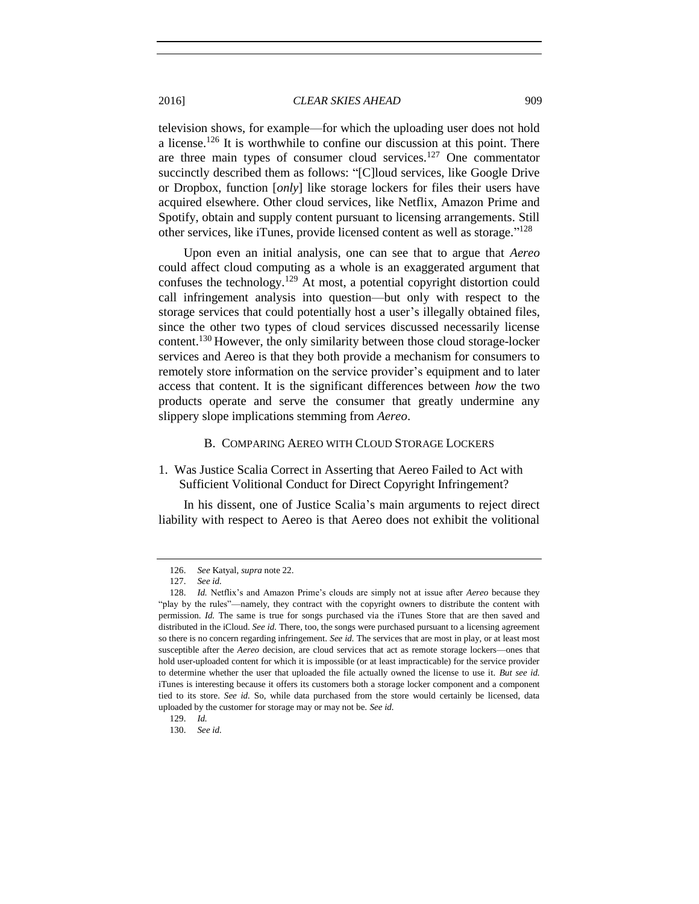television shows, for example—for which the uploading user does not hold a license.<sup>126</sup> It is worthwhile to confine our discussion at this point. There are three main types of consumer cloud services.<sup>127</sup> One commentator succinctly described them as follows: "[C]loud services, like Google Drive or Dropbox, function [*only*] like storage lockers for files their users have acquired elsewhere. Other cloud services, like Netflix, Amazon Prime and Spotify, obtain and supply content pursuant to licensing arrangements. Still other services, like iTunes, provide licensed content as well as storage."<sup>128</sup>

Upon even an initial analysis, one can see that to argue that *Aereo*  could affect cloud computing as a whole is an exaggerated argument that confuses the technology.<sup>129</sup> At most, a potential copyright distortion could call infringement analysis into question—but only with respect to the storage services that could potentially host a user's illegally obtained files, since the other two types of cloud services discussed necessarily license content.<sup>130</sup> However, the only similarity between those cloud storage-locker services and Aereo is that they both provide a mechanism for consumers to remotely store information on the service provider's equipment and to later access that content. It is the significant differences between *how* the two products operate and serve the consumer that greatly undermine any slippery slope implications stemming from *Aereo*.

#### B. COMPARING AEREO WITH CLOUD STORAGE LOCKERS

# 1. Was Justice Scalia Correct in Asserting that Aereo Failed to Act with Sufficient Volitional Conduct for Direct Copyright Infringement?

In his dissent, one of Justice Scalia's main arguments to reject direct liability with respect to Aereo is that Aereo does not exhibit the volitional

<sup>126.</sup> *See* Katyal, *supra* note [22.](#page-4-0)

<sup>127.</sup> *See id.*

<sup>128.</sup> *Id.* Netflix's and Amazon Prime's clouds are simply not at issue after *Aereo* because they "play by the rules"—namely, they contract with the copyright owners to distribute the content with permission. *Id.* The same is true for songs purchased via the iTunes Store that are then saved and distributed in the iCloud. *See id.* There, too, the songs were purchased pursuant to a licensing agreement so there is no concern regarding infringement. *See id.* The services that are most in play, or at least most susceptible after the *Aereo* decision, are cloud services that act as remote storage lockers—ones that hold user-uploaded content for which it is impossible (or at least impracticable) for the service provider to determine whether the user that uploaded the file actually owned the license to use it. *But see id.* iTunes is interesting because it offers its customers both a storage locker component and a component tied to its store. *See id.* So, while data purchased from the store would certainly be licensed, data uploaded by the customer for storage may or may not be. *See id.* 

<sup>129.</sup> *Id.*

<sup>130.</sup> *See id.*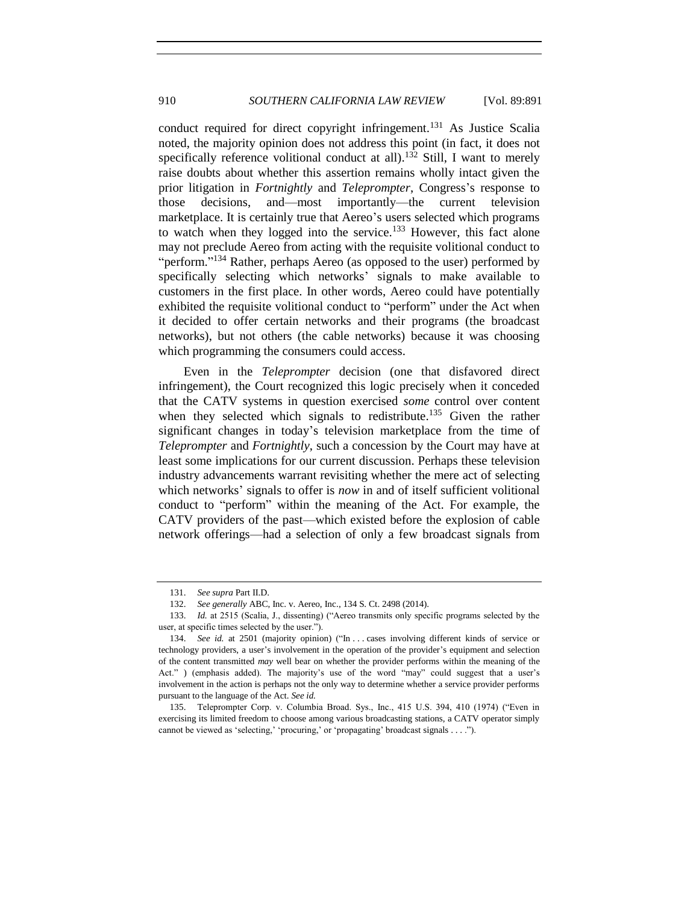conduct required for direct copyright infringement.<sup>131</sup> As Justice Scalia noted, the majority opinion does not address this point (in fact, it does not specifically reference volitional conduct at all).<sup>132</sup> Still, I want to merely raise doubts about whether this assertion remains wholly intact given the prior litigation in *Fortnightly* and *Teleprompter*, Congress's response to those decisions, and—most importantly—the current television marketplace. It is certainly true that Aereo's users selected which programs to watch when they logged into the service.<sup>133</sup> However, this fact alone may not preclude Aereo from acting with the requisite volitional conduct to "perform."<sup>134</sup> Rather, perhaps Aereo (as opposed to the user) performed by specifically selecting which networks' signals to make available to customers in the first place. In other words, Aereo could have potentially exhibited the requisite volitional conduct to "perform" under the Act when it decided to offer certain networks and their programs (the broadcast networks), but not others (the cable networks) because it was choosing which programming the consumers could access.

Even in the *Teleprompter* decision (one that disfavored direct infringement), the Court recognized this logic precisely when it conceded that the CATV systems in question exercised *some* control over content when they selected which signals to redistribute.<sup>135</sup> Given the rather significant changes in today's television marketplace from the time of *Teleprompter* and *Fortnightly*, such a concession by the Court may have at least some implications for our current discussion. Perhaps these television industry advancements warrant revisiting whether the mere act of selecting which networks' signals to offer is *now* in and of itself sufficient volitional conduct to "perform" within the meaning of the Act. For example, the CATV providers of the past—which existed before the explosion of cable network offerings—had a selection of only a few broadcast signals from

<sup>131.</sup> *See supra* Part II.D.

<sup>132.</sup> *See generally* ABC, Inc. v. Aereo, Inc., 134 S. Ct. 2498 (2014).

<sup>133.</sup> *Id.* at 2515 (Scalia, J., dissenting) ("Aereo transmits only specific programs selected by the user, at specific times selected by the user.").

<sup>134.</sup> *See id.* at 2501 (majority opinion) ("In ... cases involving different kinds of service or technology providers, a user's involvement in the operation of the provider's equipment and selection of the content transmitted *may* well bear on whether the provider performs within the meaning of the Act." ) (emphasis added). The majority's use of the word "may" could suggest that a user's involvement in the action is perhaps not the only way to determine whether a service provider performs pursuant to the language of the Act. *See id.*

<sup>135.</sup> Teleprompter Corp. v. Columbia Broad. Sys., Inc., 415 U.S. 394, 410 (1974) ("Even in exercising its limited freedom to choose among various broadcasting stations, a CATV operator simply cannot be viewed as 'selecting,' 'procuring,' or 'propagating' broadcast signals . . . .").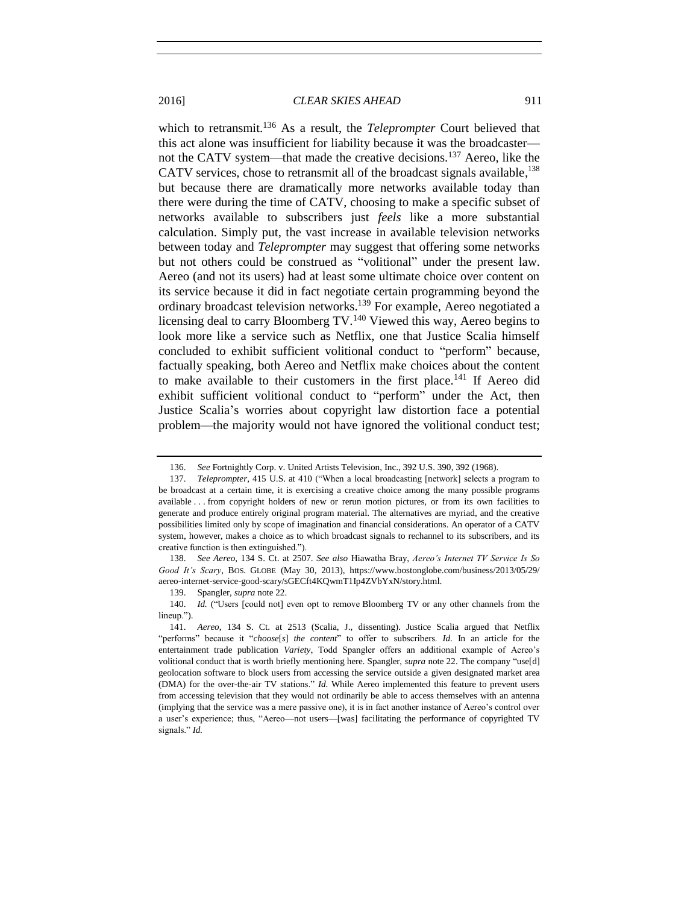which to retransmit.<sup>136</sup> As a result, the *Teleprompter* Court believed that this act alone was insufficient for liability because it was the broadcaster not the CATV system—that made the creative decisions.<sup>137</sup> Aereo, like the CATV services, chose to retransmit all of the broadcast signals available,<sup>138</sup> but because there are dramatically more networks available today than there were during the time of CATV, choosing to make a specific subset of networks available to subscribers just *feels* like a more substantial calculation. Simply put, the vast increase in available television networks between today and *Teleprompter* may suggest that offering some networks but not others could be construed as "volitional" under the present law. Aereo (and not its users) had at least some ultimate choice over content on its service because it did in fact negotiate certain programming beyond the ordinary broadcast television networks.<sup>139</sup> For example, Aereo negotiated a licensing deal to carry Bloomberg TV.<sup>140</sup> Viewed this way, Aereo begins to look more like a service such as Netflix, one that Justice Scalia himself concluded to exhibit sufficient volitional conduct to "perform" because, factually speaking, both Aereo and Netflix make choices about the content to make available to their customers in the first place.<sup>141</sup> If Aereo did exhibit sufficient volitional conduct to "perform" under the Act, then Justice Scalia's worries about copyright law distortion face a potential problem—the majority would not have ignored the volitional conduct test;

138. *See Aereo*, 134 S. Ct. at 2507. *See also* Hiawatha Bray, *Aereo's Internet TV Service Is So Good It's Scary*, BOS. GLOBE (May 30, 2013), https://www.bostonglobe.com/business/2013/05/29/ aereo-internet-service-good-scary/sGECft4KQwmT1Ip4ZVbYxN/story.html.

139. Spangler, *supra* note [22.](#page-4-0)

<sup>136.</sup> *See* Fortnightly Corp. v. United Artists Television, Inc., 392 U.S. 390, 392 (1968).

<sup>137.</sup> *Teleprompter*, 415 U.S. at 410 ("When a local broadcasting [network] selects a program to be broadcast at a certain time, it is exercising a creative choice among the many possible programs available . . . from copyright holders of new or rerun motion pictures, or from its own facilities to generate and produce entirely original program material. The alternatives are myriad, and the creative possibilities limited only by scope of imagination and financial considerations. An operator of a CATV system, however, makes a choice as to which broadcast signals to rechannel to its subscribers, and its creative function is then extinguished.").

<sup>140.</sup> *Id.* ("Users [could not] even opt to remove Bloomberg TV or any other channels from the lineup.").

<sup>141.</sup> *Aereo*, 134 S. Ct. at 2513 (Scalia, J., dissenting). Justice Scalia argued that Netflix "performs" because it "*choose*[*s*] *the content*" to offer to subscribers. *Id.* In an article for the entertainment trade publication *Variety*, Todd Spangler offers an additional example of Aereo's volitional conduct that is worth briefly mentioning here. Spangler, *supra* note [22.](#page-4-0) The company "use[d] geolocation software to block users from accessing the service outside a given designated market area (DMA) for the over-the-air TV stations." *Id*. While Aereo implemented this feature to prevent users from accessing television that they would not ordinarily be able to access themselves with an antenna (implying that the service was a mere passive one), it is in fact another instance of Aereo's control over a user's experience; thus, "Aereo—not users—[was] facilitating the performance of copyrighted TV signals." *Id.*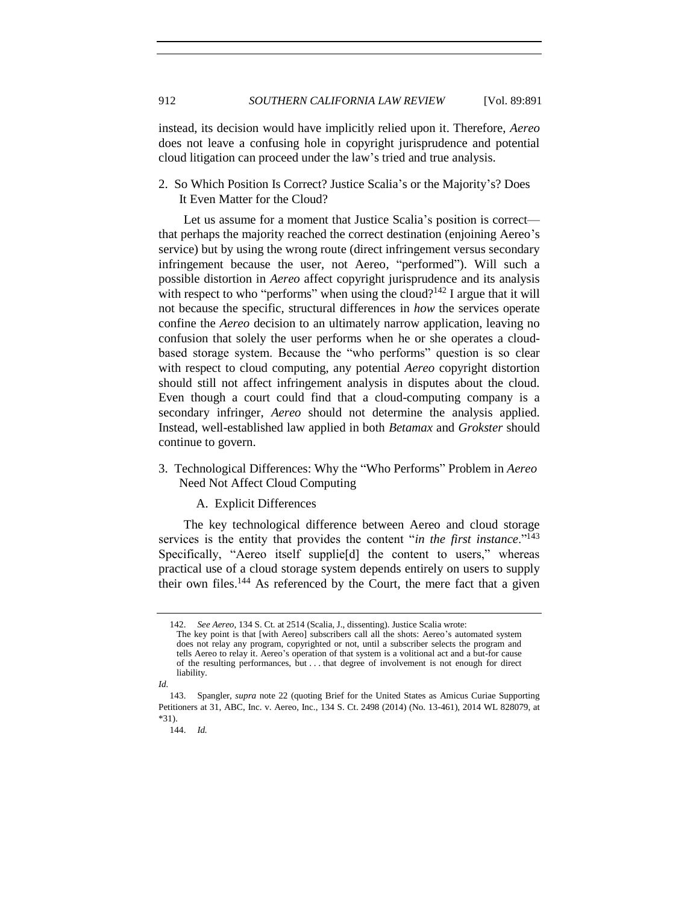instead, its decision would have implicitly relied upon it. Therefore, *Aereo* does not leave a confusing hole in copyright jurisprudence and potential cloud litigation can proceed under the law's tried and true analysis.

2. So Which Position Is Correct? Justice Scalia's or the Majority's? Does It Even Matter for the Cloud?

Let us assume for a moment that Justice Scalia's position is correct that perhaps the majority reached the correct destination (enjoining Aereo's service) but by using the wrong route (direct infringement versus secondary infringement because the user, not Aereo, "performed"). Will such a possible distortion in *Aereo* affect copyright jurisprudence and its analysis with respect to who "performs" when using the cloud?<sup>142</sup> I argue that it will not because the specific, structural differences in *how* the services operate confine the *Aereo* decision to an ultimately narrow application, leaving no confusion that solely the user performs when he or she operates a cloudbased storage system. Because the "who performs" question is so clear with respect to cloud computing, any potential *Aereo* copyright distortion should still not affect infringement analysis in disputes about the cloud. Even though a court could find that a cloud-computing company is a secondary infringer, *Aereo* should not determine the analysis applied. Instead, well-established law applied in both *Betamax* and *Grokster* should continue to govern.

3. Technological Differences: Why the "Who Performs" Problem in *Aereo* Need Not Affect Cloud Computing

#### A. Explicit Differences

The key technological difference between Aereo and cloud storage services is the entity that provides the content "*in the first instance*."<sup>143</sup> Specifically, "Aereo itself supplie[d] the content to users," whereas practical use of a cloud storage system depends entirely on users to supply their own files. $144$  As referenced by the Court, the mere fact that a given

<sup>142.</sup> *See Aereo*, 134 S. Ct. at 2514 (Scalia, J., dissenting). Justice Scalia wrote: The key point is that [with Aereo] subscribers call all the shots: Aereo's automated system does not relay any program, copyrighted or not, until a subscriber selects the program and tells Aereo to relay it. Aereo's operation of that system is a volitional act and a but-for cause of the resulting performances, but . . . that degree of involvement is not enough for direct liability.

*Id.*

<sup>143.</sup> Spangler, *supra* note [22](#page-4-0) (quoting Brief for the United States as Amicus Curiae Supporting Petitioners at 31, ABC, Inc. v. Aereo, Inc., 134 S. Ct. 2498 (2014) (No. 13-461), 2014 WL 828079, at \*31).

<sup>144.</sup> *Id.*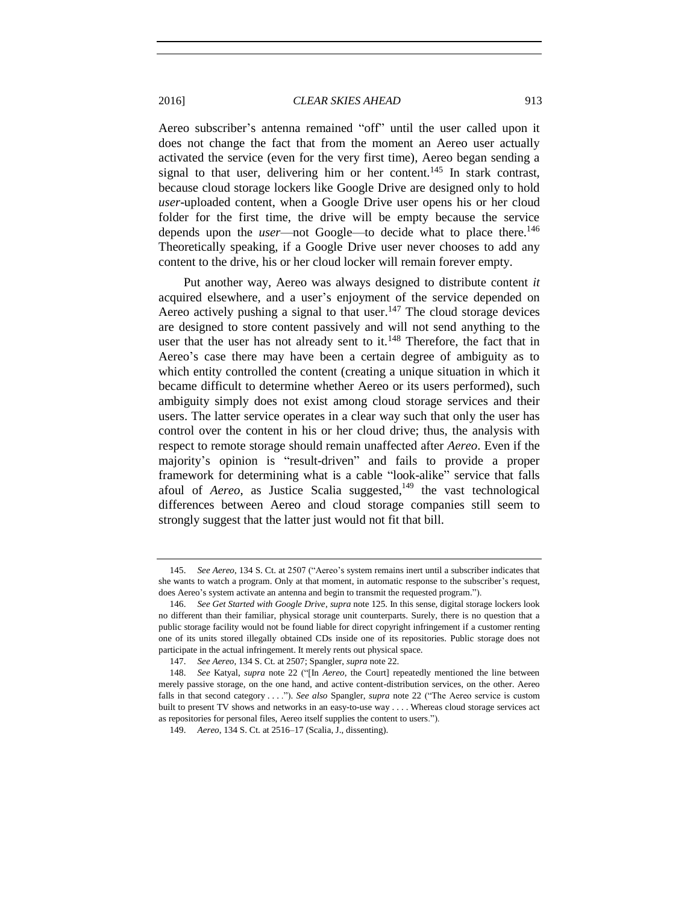Aereo subscriber's antenna remained "off" until the user called upon it does not change the fact that from the moment an Aereo user actually activated the service (even for the very first time), Aereo began sending a signal to that user, delivering him or her content.<sup>145</sup> In stark contrast, because cloud storage lockers like Google Drive are designed only to hold *user*-uploaded content, when a Google Drive user opens his or her cloud folder for the first time, the drive will be empty because the service depends upon the *user*—not Google—to decide what to place there.<sup>146</sup> Theoretically speaking, if a Google Drive user never chooses to add any content to the drive, his or her cloud locker will remain forever empty.

Put another way, Aereo was always designed to distribute content *it* acquired elsewhere, and a user's enjoyment of the service depended on Aereo actively pushing a signal to that user.<sup>147</sup> The cloud storage devices are designed to store content passively and will not send anything to the user that the user has not already sent to it.<sup>148</sup> Therefore, the fact that in Aereo's case there may have been a certain degree of ambiguity as to which entity controlled the content (creating a unique situation in which it became difficult to determine whether Aereo or its users performed), such ambiguity simply does not exist among cloud storage services and their users. The latter service operates in a clear way such that only the user has control over the content in his or her cloud drive; thus, the analysis with respect to remote storage should remain unaffected after *Aereo*. Even if the majority's opinion is "result-driven" and fails to provide a proper framework for determining what is a cable "look-alike" service that falls afoul of *Aereo*, as Justice Scalia suggested,<sup>149</sup> the vast technological differences between Aereo and cloud storage companies still seem to strongly suggest that the latter just would not fit that bill.

<sup>145.</sup> *See Aereo*, 134 S. Ct. at 2507 ("Aereo's system remains inert until a subscriber indicates that she wants to watch a program. Only at that moment, in automatic response to the subscriber's request, does Aereo's system activate an antenna and begin to transmit the requested program.").

<sup>146.</sup> *See Get Started with Google Drive*, *supra* not[e 125.](#page-17-0) In this sense, digital storage lockers look no different than their familiar, physical storage unit counterparts. Surely, there is no question that a public storage facility would not be found liable for direct copyright infringement if a customer renting one of its units stored illegally obtained CDs inside one of its repositories. Public storage does not participate in the actual infringement. It merely rents out physical space.

<sup>147.</sup> *See Aereo*, 134 S. Ct. at 2507; Spangler, *supra* note [22.](#page-4-0)

<sup>148.</sup> *See* Katyal, *supra* note [22](#page-4-0) ("[In *Aereo*, the Court] repeatedly mentioned the line between merely passive storage, on the one hand, and active content-distribution services, on the other. Aereo falls in that second category . . . ."). *See also* Spangler, *supra* note [22](#page-4-0) ("The Aereo service is custom built to present TV shows and networks in an easy-to-use way . . . . Whereas cloud storage services act as repositories for personal files, Aereo itself supplies the content to users.").

<sup>149.</sup> *Aereo*, 134 S. Ct. at 2516–17 (Scalia, J., dissenting).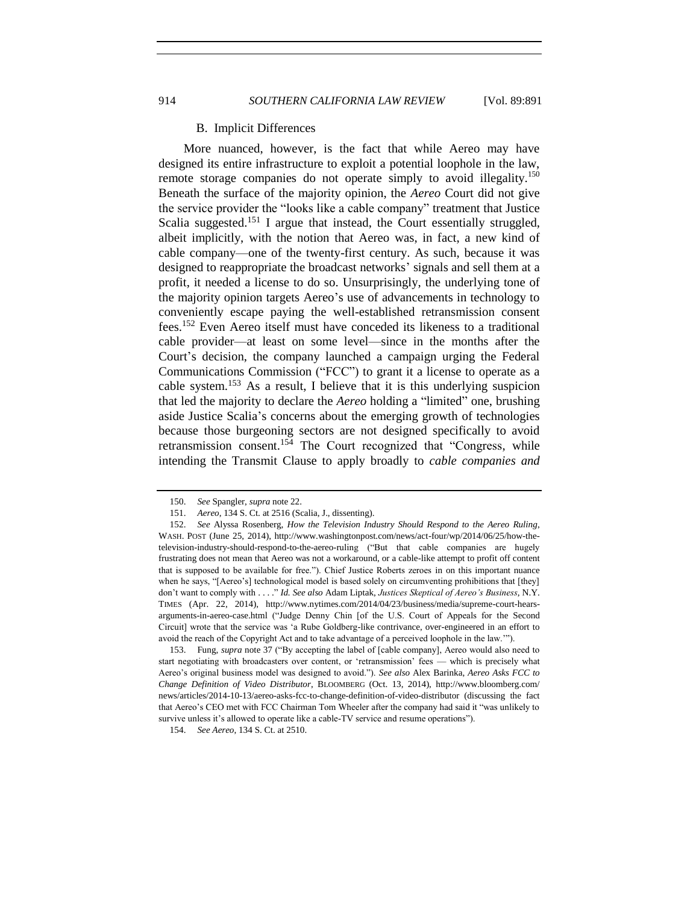#### B. Implicit Differences

More nuanced, however, is the fact that while Aereo may have designed its entire infrastructure to exploit a potential loophole in the law, remote storage companies do not operate simply to avoid illegality.<sup>150</sup> Beneath the surface of the majority opinion, the *Aereo* Court did not give the service provider the "looks like a cable company" treatment that Justice Scalia suggested.<sup>151</sup> I argue that instead, the Court essentially struggled, albeit implicitly, with the notion that Aereo was, in fact, a new kind of cable company—one of the twenty-first century. As such, because it was designed to reappropriate the broadcast networks' signals and sell them at a profit, it needed a license to do so. Unsurprisingly, the underlying tone of the majority opinion targets Aereo's use of advancements in technology to conveniently escape paying the well-established retransmission consent fees.<sup>152</sup> Even Aereo itself must have conceded its likeness to a traditional cable provider—at least on some level—since in the months after the Court's decision, the company launched a campaign urging the Federal Communications Commission ("FCC") to grant it a license to operate as a cable system.<sup>153</sup> As a result, I believe that it is this underlying suspicion that led the majority to declare the *Aereo* holding a "limited" one, brushing aside Justice Scalia's concerns about the emerging growth of technologies because those burgeoning sectors are not designed specifically to avoid retransmission consent.<sup>154</sup> The Court recognized that "Congress, while intending the Transmit Clause to apply broadly to *cable companies and* 

<sup>150.</sup> *See* Spangler, *supra* not[e 22.](#page-4-0)

<sup>151.</sup> *Aereo*, 134 S. Ct. at 2516 (Scalia, J., dissenting).

<sup>152.</sup> *See* Alyssa Rosenberg, *How the Television Industry Should Respond to the Aereo Ruling*, WASH. POST (June 25, 2014), http://www.washingtonpost.com/news/act-four/wp/2014/06/25/how-thetelevision-industry-should-respond-to-the-aereo-ruling ("But that cable companies are hugely frustrating does not mean that Aereo was not a workaround, or a cable-like attempt to profit off content that is supposed to be available for free."). Chief Justice Roberts zeroes in on this important nuance when he says, "[Aereo's] technological model is based solely on circumventing prohibitions that [they] don't want to comply with . . . ." *Id. See also* Adam Liptak, *Justices Skeptical of Aereo's Business*, N.Y. TIMES (Apr. 22, 2014), http://www.nytimes.com/2014/04/23/business/media/supreme-court-hearsarguments-in-aereo-case.html ("Judge Denny Chin [of the U.S. Court of Appeals for the Second Circuit] wrote that the service was 'a Rube Goldberg-like contrivance, over-engineered in an effort to avoid the reach of the Copyright Act and to take advantage of a perceived loophole in the law.'").

<sup>153.</sup> Fung, *supra* not[e 37](#page-7-1) ("By accepting the label of [cable company], Aereo would also need to start negotiating with broadcasters over content, or 'retransmission' fees — which is precisely what Aereo's original business model was designed to avoid."). *See also* Alex Barinka, *Aereo Asks FCC to Change Definition of Video Distributor*, BLOOMBERG (Oct. 13, 2014), http://www.bloomberg.com/ news/articles/2014-10-13/aereo-asks-fcc-to-change-definition-of-video-distributor (discussing the fact that Aereo's CEO met with FCC Chairman Tom Wheeler after the company had said it "was unlikely to survive unless it's allowed to operate like a cable-TV service and resume operations").

<sup>154.</sup> *See Aereo*, 134 S. Ct. at 2510.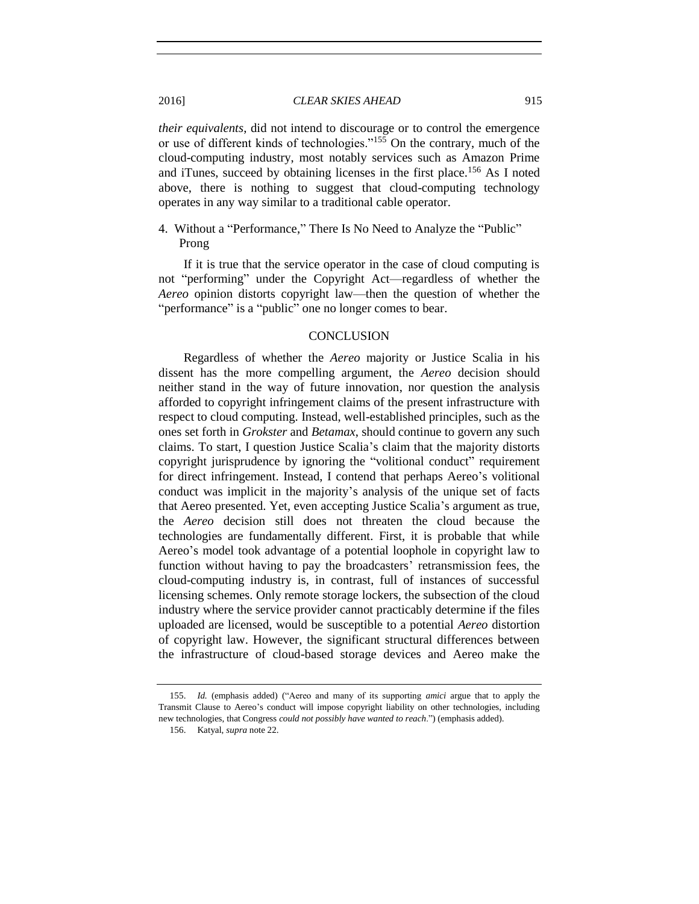*their equivalents*, did not intend to discourage or to control the emergence or use of different kinds of technologies."<sup>155</sup> On the contrary, much of the cloud-computing industry, most notably services such as Amazon Prime and iTunes, succeed by obtaining licenses in the first place.<sup>156</sup> As I noted above, there is nothing to suggest that cloud-computing technology operates in any way similar to a traditional cable operator.

4. Without a "Performance," There Is No Need to Analyze the "Public" Prong

If it is true that the service operator in the case of cloud computing is not "performing" under the Copyright Act—regardless of whether the *Aereo* opinion distorts copyright law—then the question of whether the "performance" is a "public" one no longer comes to bear.

#### **CONCLUSION**

Regardless of whether the *Aereo* majority or Justice Scalia in his dissent has the more compelling argument, the *Aereo* decision should neither stand in the way of future innovation, nor question the analysis afforded to copyright infringement claims of the present infrastructure with respect to cloud computing. Instead, well-established principles, such as the ones set forth in *Grokster* and *Betamax*, should continue to govern any such claims. To start, I question Justice Scalia's claim that the majority distorts copyright jurisprudence by ignoring the "volitional conduct" requirement for direct infringement. Instead, I contend that perhaps Aereo's volitional conduct was implicit in the majority's analysis of the unique set of facts that Aereo presented. Yet, even accepting Justice Scalia's argument as true, the *Aereo* decision still does not threaten the cloud because the technologies are fundamentally different. First, it is probable that while Aereo's model took advantage of a potential loophole in copyright law to function without having to pay the broadcasters' retransmission fees, the cloud-computing industry is, in contrast, full of instances of successful licensing schemes. Only remote storage lockers, the subsection of the cloud industry where the service provider cannot practicably determine if the files uploaded are licensed, would be susceptible to a potential *Aereo* distortion of copyright law. However, the significant structural differences between the infrastructure of cloud-based storage devices and Aereo make the

<sup>155.</sup> *Id.* (emphasis added) ("Aereo and many of its supporting *amici* argue that to apply the Transmit Clause to Aereo's conduct will impose copyright liability on other technologies, including new technologies, that Congress *could not possibly have wanted to reach*.") (emphasis added).

<sup>156.</sup> Katyal, *supra* not[e 22.](#page-4-0)